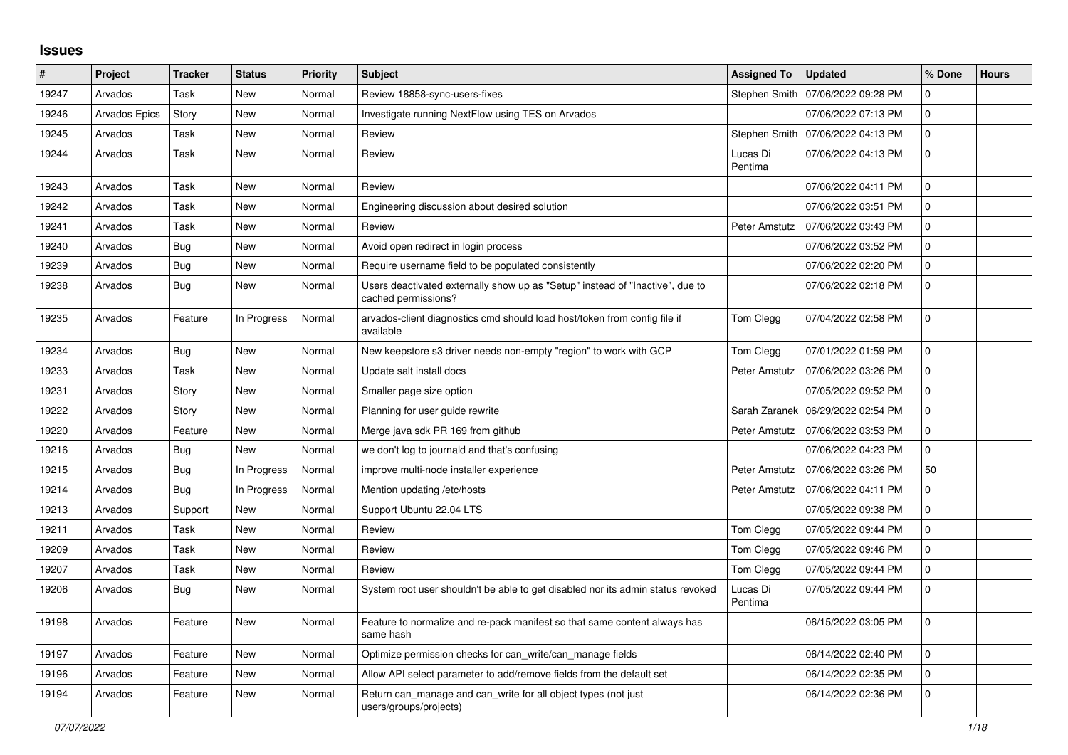## **Issues**

| $\vert$ # | Project              | <b>Tracker</b> | <b>Status</b> | <b>Priority</b> | <b>Subject</b>                                                                                       | <b>Assigned To</b>  | <b>Updated</b>                      | % Done         | <b>Hours</b> |
|-----------|----------------------|----------------|---------------|-----------------|------------------------------------------------------------------------------------------------------|---------------------|-------------------------------------|----------------|--------------|
| 19247     | Arvados              | Task           | New           | Normal          | Review 18858-sync-users-fixes                                                                        | Stephen Smith       | 07/06/2022 09:28 PM                 | 0              |              |
| 19246     | <b>Arvados Epics</b> | Story          | <b>New</b>    | Normal          | Investigate running NextFlow using TES on Arvados                                                    |                     | 07/06/2022 07:13 PM                 | 0              |              |
| 19245     | Arvados              | Task           | New           | Normal          | Review                                                                                               | Stephen Smith       | 07/06/2022 04:13 PM                 | 0              |              |
| 19244     | Arvados              | Task           | <b>New</b>    | Normal          | Review                                                                                               | Lucas Di<br>Pentima | 07/06/2022 04:13 PM                 | $\Omega$       |              |
| 19243     | Arvados              | Task           | <b>New</b>    | Normal          | Review                                                                                               |                     | 07/06/2022 04:11 PM                 | $\mathbf{0}$   |              |
| 19242     | Arvados              | Task           | <b>New</b>    | Normal          | Engineering discussion about desired solution                                                        |                     | 07/06/2022 03:51 PM                 | 0              |              |
| 19241     | Arvados              | Task           | <b>New</b>    | Normal          | Review                                                                                               | Peter Amstutz       | 07/06/2022 03:43 PM                 | 0              |              |
| 19240     | Arvados              | Bug            | New           | Normal          | Avoid open redirect in login process                                                                 |                     | 07/06/2022 03:52 PM                 | 0              |              |
| 19239     | Arvados              | <b>Bug</b>     | New           | Normal          | Require username field to be populated consistently                                                  |                     | 07/06/2022 02:20 PM                 | 0              |              |
| 19238     | Arvados              | Bug            | New           | Normal          | Users deactivated externally show up as "Setup" instead of "Inactive", due to<br>cached permissions? |                     | 07/06/2022 02:18 PM                 | 0              |              |
| 19235     | Arvados              | Feature        | In Progress   | Normal          | arvados-client diagnostics cmd should load host/token from config file if<br>available               | Tom Clegg           | 07/04/2022 02:58 PM                 | $\Omega$       |              |
| 19234     | Arvados              | Bug            | <b>New</b>    | Normal          | New keepstore s3 driver needs non-empty "region" to work with GCP                                    | Tom Clegg           | 07/01/2022 01:59 PM                 | $\mathbf 0$    |              |
| 19233     | Arvados              | Task           | <b>New</b>    | Normal          | Update salt install docs                                                                             | Peter Amstutz       | 07/06/2022 03:26 PM                 | 0              |              |
| 19231     | Arvados              | Story          | <b>New</b>    | Normal          | Smaller page size option                                                                             |                     | 07/05/2022 09:52 PM                 | 0              |              |
| 19222     | Arvados              | Story          | <b>New</b>    | Normal          | Planning for user guide rewrite                                                                      |                     | Sarah Zaranek   06/29/2022 02:54 PM | $\Omega$       |              |
| 19220     | Arvados              | Feature        | New           | Normal          | Merge java sdk PR 169 from github                                                                    | Peter Amstutz       | 07/06/2022 03:53 PM                 | 0              |              |
| 19216     | Arvados              | Bug            | <b>New</b>    | Normal          | we don't log to journald and that's confusing                                                        |                     | 07/06/2022 04:23 PM                 | $\overline{0}$ |              |
| 19215     | Arvados              | Bug            | In Progress   | Normal          | improve multi-node installer experience                                                              | Peter Amstutz       | 07/06/2022 03:26 PM                 | 50             |              |
| 19214     | Arvados              | Bug            | In Progress   | Normal          | Mention updating /etc/hosts                                                                          | Peter Amstutz       | 07/06/2022 04:11 PM                 | 0              |              |
| 19213     | Arvados              | Support        | <b>New</b>    | Normal          | Support Ubuntu 22.04 LTS                                                                             |                     | 07/05/2022 09:38 PM                 | 0              |              |
| 19211     | Arvados              | Task           | <b>New</b>    | Normal          | Review                                                                                               | Tom Clegg           | 07/05/2022 09:44 PM                 | $\mathbf{0}$   |              |
| 19209     | Arvados              | Task           | <b>New</b>    | Normal          | Review                                                                                               | Tom Clegg           | 07/05/2022 09:46 PM                 | $\Omega$       |              |
| 19207     | Arvados              | Task           | New           | Normal          | Review                                                                                               | Tom Clegg           | 07/05/2022 09:44 PM                 | 0              |              |
| 19206     | Arvados              | Bug            | New           | Normal          | System root user shouldn't be able to get disabled nor its admin status revoked                      | Lucas Di<br>Pentima | 07/05/2022 09:44 PM                 | 0              |              |
| 19198     | Arvados              | Feature        | New           | Normal          | Feature to normalize and re-pack manifest so that same content always has<br>same hash               |                     | 06/15/2022 03:05 PM                 | $\Omega$       |              |
| 19197     | Arvados              | Feature        | New           | Normal          | Optimize permission checks for can write/can manage fields                                           |                     | 06/14/2022 02:40 PM                 | 0              |              |
| 19196     | Arvados              | Feature        | <b>New</b>    | Normal          | Allow API select parameter to add/remove fields from the default set                                 |                     | 06/14/2022 02:35 PM                 | $\mathbf{0}$   |              |
| 19194     | Arvados              | Feature        | New           | Normal          | Return can_manage and can_write for all object types (not just<br>users/groups/projects)             |                     | 06/14/2022 02:36 PM                 | $\Omega$       |              |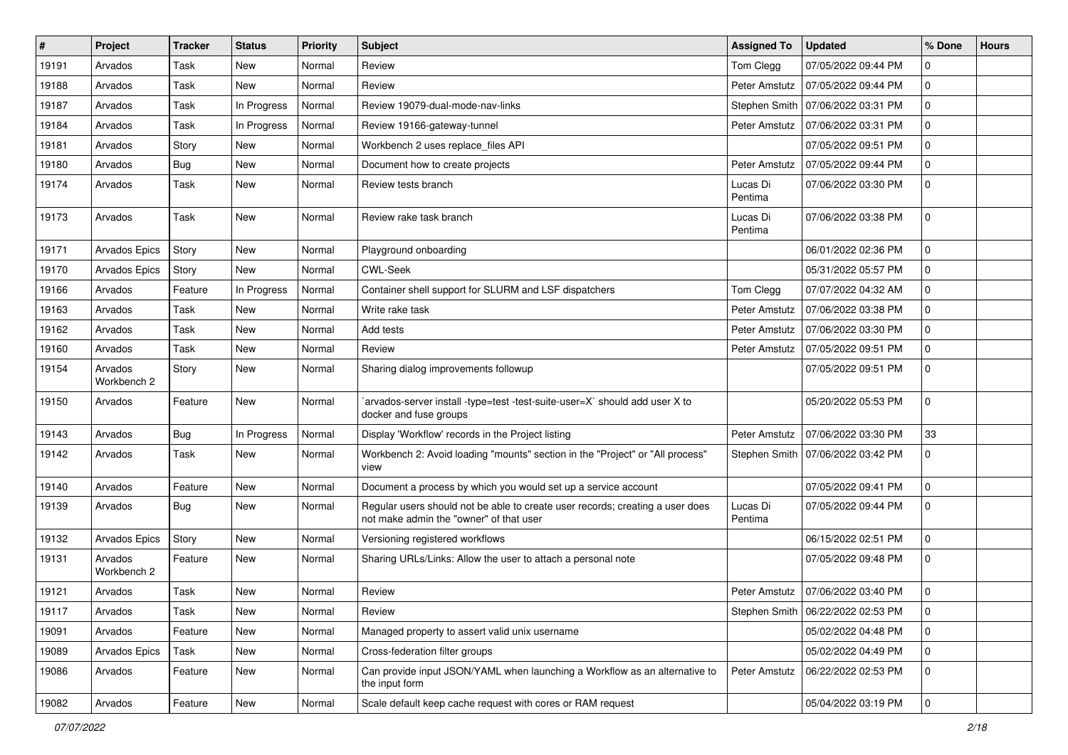| #     | Project                | <b>Tracker</b> | <b>Status</b> | <b>Priority</b> | Subject                                                                                                                  | <b>Assigned To</b>  | <b>Updated</b>                      | % Done       | <b>Hours</b> |
|-------|------------------------|----------------|---------------|-----------------|--------------------------------------------------------------------------------------------------------------------------|---------------------|-------------------------------------|--------------|--------------|
| 19191 | Arvados                | Task           | New           | Normal          | Review                                                                                                                   | Tom Clegg           | 07/05/2022 09:44 PM                 | 0            |              |
| 19188 | Arvados                | Task           | <b>New</b>    | Normal          | Review                                                                                                                   | Peter Amstutz       | 07/05/2022 09:44 PM                 | 0            |              |
| 19187 | Arvados                | Task           | In Progress   | Normal          | Review 19079-dual-mode-nav-links                                                                                         |                     | Stephen Smith   07/06/2022 03:31 PM | 0            |              |
| 19184 | Arvados                | Task           | In Progress   | Normal          | Review 19166-gateway-tunnel                                                                                              | Peter Amstutz       | 07/06/2022 03:31 PM                 | $\mathbf 0$  |              |
| 19181 | Arvados                | Story          | New           | Normal          | Workbench 2 uses replace_files API                                                                                       |                     | 07/05/2022 09:51 PM                 | 0            |              |
| 19180 | Arvados                | <b>Bug</b>     | New           | Normal          | Document how to create projects                                                                                          | Peter Amstutz       | 07/05/2022 09:44 PM                 | 0            |              |
| 19174 | Arvados                | Task           | <b>New</b>    | Normal          | Review tests branch                                                                                                      | Lucas Di<br>Pentima | 07/06/2022 03:30 PM                 | 0            |              |
| 19173 | Arvados                | Task           | New           | Normal          | Review rake task branch                                                                                                  | Lucas Di<br>Pentima | 07/06/2022 03:38 PM                 | $\mathbf 0$  |              |
| 19171 | Arvados Epics          | Story          | <b>New</b>    | Normal          | Playground onboarding                                                                                                    |                     | 06/01/2022 02:36 PM                 | $\mathbf 0$  |              |
| 19170 | Arvados Epics          | Story          | New           | Normal          | <b>CWL-Seek</b>                                                                                                          |                     | 05/31/2022 05:57 PM                 | $\mathbf 0$  |              |
| 19166 | Arvados                | Feature        | In Progress   | Normal          | Container shell support for SLURM and LSF dispatchers                                                                    | Tom Clegg           | 07/07/2022 04:32 AM                 | 0            |              |
| 19163 | Arvados                | Task           | New           | Normal          | Write rake task                                                                                                          | Peter Amstutz       | 07/06/2022 03:38 PM                 | 0            |              |
| 19162 | Arvados                | Task           | <b>New</b>    | Normal          | Add tests                                                                                                                | Peter Amstutz       | 07/06/2022 03:30 PM                 | $\mathbf 0$  |              |
| 19160 | Arvados                | Task           | New           | Normal          | Review                                                                                                                   | Peter Amstutz       | 07/05/2022 09:51 PM                 | 0            |              |
| 19154 | Arvados<br>Workbench 2 | Story          | New           | Normal          | Sharing dialog improvements followup                                                                                     |                     | 07/05/2022 09:51 PM                 | $\mathbf 0$  |              |
| 19150 | Arvados                | Feature        | <b>New</b>    | Normal          | `arvados-server install -type=test -test-suite-user=X` should add user X to<br>docker and fuse groups                    |                     | 05/20/2022 05:53 PM                 | 0            |              |
| 19143 | Arvados                | Bug            | In Progress   | Normal          | Display 'Workflow' records in the Project listing                                                                        | Peter Amstutz       | 07/06/2022 03:30 PM                 | 33           |              |
| 19142 | Arvados                | Task           | New           | Normal          | Workbench 2: Avoid loading "mounts" section in the "Project" or "All process"<br>view                                    |                     | Stephen Smith   07/06/2022 03:42 PM | $\mathbf{0}$ |              |
| 19140 | Arvados                | Feature        | New           | Normal          | Document a process by which you would set up a service account                                                           |                     | 07/05/2022 09:41 PM                 | 0            |              |
| 19139 | Arvados                | Bug            | New           | Normal          | Regular users should not be able to create user records; creating a user does<br>not make admin the "owner" of that user | Lucas Di<br>Pentima | 07/05/2022 09:44 PM                 | 0            |              |
| 19132 | Arvados Epics          | Story          | New           | Normal          | Versioning registered workflows                                                                                          |                     | 06/15/2022 02:51 PM                 | 0            |              |
| 19131 | Arvados<br>Workbench 2 | Feature        | New           | Normal          | Sharing URLs/Links: Allow the user to attach a personal note                                                             |                     | 07/05/2022 09:48 PM                 | 0            |              |
| 19121 | Arvados                | Task           | New           | Normal          | Review                                                                                                                   | Peter Amstutz       | 07/06/2022 03:40 PM                 | $\mathbf 0$  |              |
| 19117 | Arvados                | Task           | New           | Normal          | Review                                                                                                                   |                     | Stephen Smith   06/22/2022 02:53 PM | l 0          |              |
| 19091 | Arvados                | Feature        | New           | Normal          | Managed property to assert valid unix username                                                                           |                     | 05/02/2022 04:48 PM                 | $\mathbf 0$  |              |
| 19089 | Arvados Epics          | Task           | New           | Normal          | Cross-federation filter groups                                                                                           |                     | 05/02/2022 04:49 PM                 | 0            |              |
| 19086 | Arvados                | Feature        | New           | Normal          | Can provide input JSON/YAML when launching a Workflow as an alternative to<br>the input form                             | Peter Amstutz       | 06/22/2022 02:53 PM                 | $\mathbf 0$  |              |
| 19082 | Arvados                | Feature        | New           | Normal          | Scale default keep cache request with cores or RAM request                                                               |                     | 05/04/2022 03:19 PM                 | 0            |              |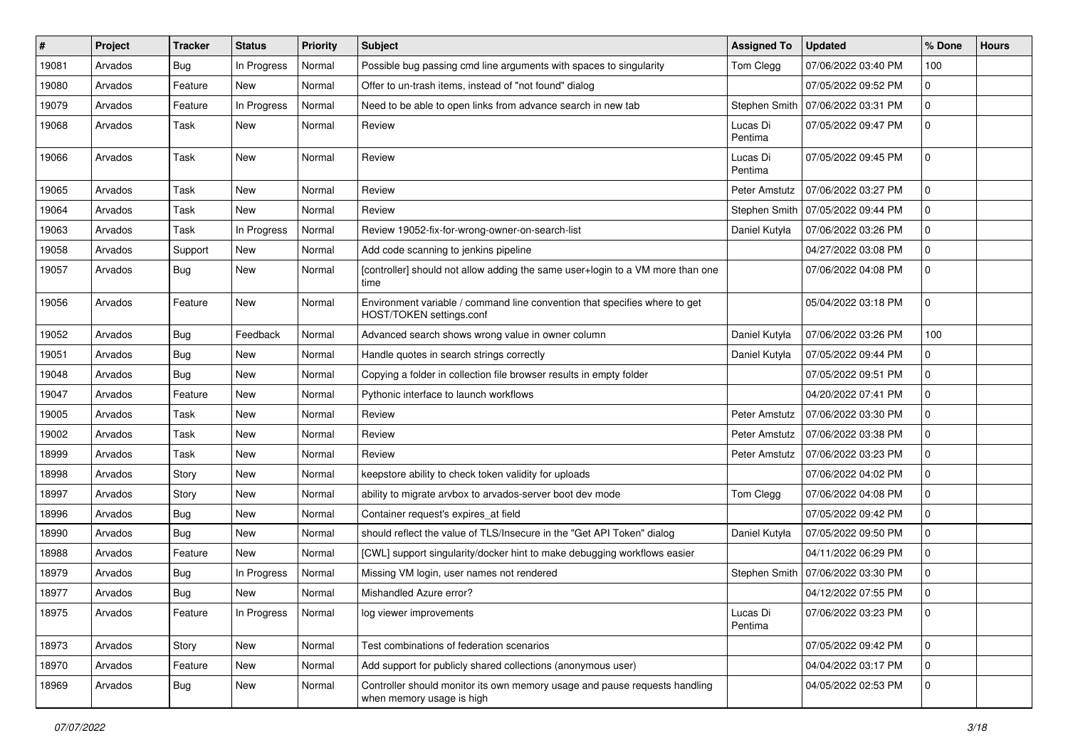| #     | <b>Project</b> | <b>Tracker</b> | <b>Status</b> | <b>Priority</b> | Subject                                                                                                 | <b>Assigned To</b>  | <b>Updated</b>      | % Done       | <b>Hours</b> |
|-------|----------------|----------------|---------------|-----------------|---------------------------------------------------------------------------------------------------------|---------------------|---------------------|--------------|--------------|
| 19081 | Arvados        | Bug            | In Progress   | Normal          | Possible bug passing cmd line arguments with spaces to singularity                                      | Tom Clegg           | 07/06/2022 03:40 PM | 100          |              |
| 19080 | Arvados        | Feature        | <b>New</b>    | Normal          | Offer to un-trash items, instead of "not found" dialog                                                  |                     | 07/05/2022 09:52 PM | 0            |              |
| 19079 | Arvados        | Feature        | In Progress   | Normal          | Need to be able to open links from advance search in new tab                                            | Stephen Smith       | 07/06/2022 03:31 PM | $\mathbf{0}$ |              |
| 19068 | Arvados        | Task           | New           | Normal          | Review                                                                                                  | Lucas Di<br>Pentima | 07/05/2022 09:47 PM | 0            |              |
| 19066 | Arvados        | Task           | <b>New</b>    | Normal          | Review                                                                                                  | Lucas Di<br>Pentima | 07/05/2022 09:45 PM | 0            |              |
| 19065 | Arvados        | Task           | <b>New</b>    | Normal          | Review                                                                                                  | Peter Amstutz       | 07/06/2022 03:27 PM | 0            |              |
| 19064 | Arvados        | Task           | New           | Normal          | Review                                                                                                  | Stephen Smith       | 07/05/2022 09:44 PM | 0            |              |
| 19063 | Arvados        | Task           | In Progress   | Normal          | Review 19052-fix-for-wrong-owner-on-search-list                                                         | Daniel Kutyła       | 07/06/2022 03:26 PM | 0            |              |
| 19058 | Arvados        | Support        | New           | Normal          | Add code scanning to jenkins pipeline                                                                   |                     | 04/27/2022 03:08 PM | 0            |              |
| 19057 | Arvados        | Bug            | New           | Normal          | [controller] should not allow adding the same user+login to a VM more than one<br>time                  |                     | 07/06/2022 04:08 PM | 0            |              |
| 19056 | Arvados        | Feature        | New           | Normal          | Environment variable / command line convention that specifies where to get<br>HOST/TOKEN settings.conf  |                     | 05/04/2022 03:18 PM | 0            |              |
| 19052 | Arvados        | Bug            | Feedback      | Normal          | Advanced search shows wrong value in owner column                                                       | Daniel Kutyła       | 07/06/2022 03:26 PM | 100          |              |
| 19051 | Arvados        | Bug            | New           | Normal          | Handle quotes in search strings correctly                                                               | Daniel Kutyła       | 07/05/2022 09:44 PM | 0            |              |
| 19048 | Arvados        | Bug            | <b>New</b>    | Normal          | Copying a folder in collection file browser results in empty folder                                     |                     | 07/05/2022 09:51 PM | 0            |              |
| 19047 | Arvados        | Feature        | New           | Normal          | Pythonic interface to launch workflows                                                                  |                     | 04/20/2022 07:41 PM | 0            |              |
| 19005 | Arvados        | Task           | <b>New</b>    | Normal          | Review                                                                                                  | Peter Amstutz       | 07/06/2022 03:30 PM | 0            |              |
| 19002 | Arvados        | Task           | <b>New</b>    | Normal          | Review                                                                                                  | Peter Amstutz       | 07/06/2022 03:38 PM | 0            |              |
| 18999 | Arvados        | Task           | New           | Normal          | Review                                                                                                  | Peter Amstutz       | 07/06/2022 03:23 PM | 0            |              |
| 18998 | Arvados        | Story          | <b>New</b>    | Normal          | keepstore ability to check token validity for uploads                                                   |                     | 07/06/2022 04:02 PM | 0            |              |
| 18997 | Arvados        | Story          | New           | Normal          | ability to migrate arvbox to arvados-server boot dev mode                                               | Tom Clegg           | 07/06/2022 04:08 PM | 0            |              |
| 18996 | Arvados        | <b>Bug</b>     | <b>New</b>    | Normal          | Container request's expires_at field                                                                    |                     | 07/05/2022 09:42 PM | 0            |              |
| 18990 | Arvados        | Bug            | <b>New</b>    | Normal          | should reflect the value of TLS/Insecure in the "Get API Token" dialog                                  | Daniel Kutyła       | 07/05/2022 09:50 PM | 0            |              |
| 18988 | Arvados        | Feature        | <b>New</b>    | Normal          | [CWL] support singularity/docker hint to make debugging workflows easier                                |                     | 04/11/2022 06:29 PM | 0            |              |
| 18979 | Arvados        | <b>Bug</b>     | In Progress   | Normal          | Missing VM login, user names not rendered                                                               | Stephen Smith       | 07/06/2022 03:30 PM | 0            |              |
| 18977 | Arvados        | <b>Bug</b>     | New           | Normal          | Mishandled Azure error?                                                                                 |                     | 04/12/2022 07:55 PM | 0            |              |
| 18975 | Arvados        | Feature        | In Progress   | Normal          | log viewer improvements                                                                                 | Lucas Di<br>Pentima | 07/06/2022 03:23 PM | 0            |              |
| 18973 | Arvados        | Story          | New           | Normal          | Test combinations of federation scenarios                                                               |                     | 07/05/2022 09:42 PM | $\mathbf{0}$ |              |
| 18970 | Arvados        | Feature        | <b>New</b>    | Normal          | Add support for publicly shared collections (anonymous user)                                            |                     | 04/04/2022 03:17 PM | 0            |              |
| 18969 | Arvados        | <b>Bug</b>     | New           | Normal          | Controller should monitor its own memory usage and pause requests handling<br>when memory usage is high |                     | 04/05/2022 02:53 PM | 0            |              |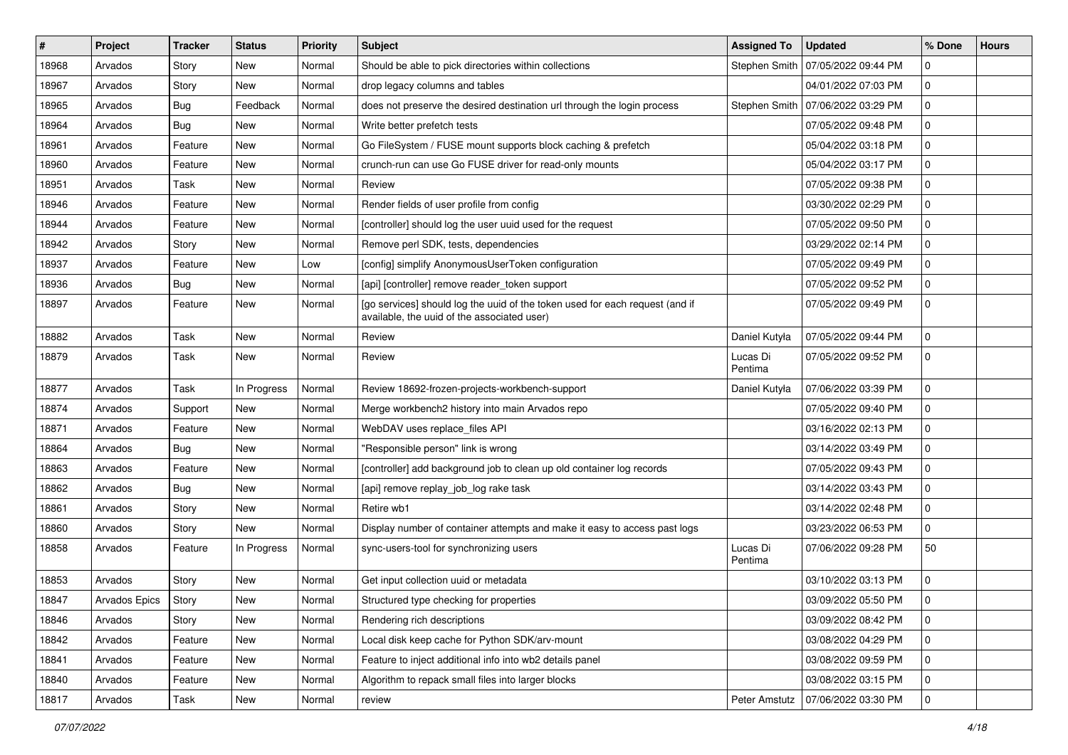| #     | Project       | <b>Tracker</b> | <b>Status</b> | <b>Priority</b> | Subject                                                                                                                     | <b>Assigned To</b>  | <b>Updated</b>      | % Done      | <b>Hours</b> |
|-------|---------------|----------------|---------------|-----------------|-----------------------------------------------------------------------------------------------------------------------------|---------------------|---------------------|-------------|--------------|
| 18968 | Arvados       | Story          | New           | Normal          | Should be able to pick directories within collections                                                                       | Stephen Smith       | 07/05/2022 09:44 PM | 0           |              |
| 18967 | Arvados       | Story          | <b>New</b>    | Normal          | drop legacy columns and tables                                                                                              |                     | 04/01/2022 07:03 PM | 0           |              |
| 18965 | Arvados       | <b>Bug</b>     | Feedback      | Normal          | does not preserve the desired destination url through the login process                                                     | Stephen Smith       | 07/06/2022 03:29 PM | 0           |              |
| 18964 | Arvados       | Bug            | New           | Normal          | Write better prefetch tests                                                                                                 |                     | 07/05/2022 09:48 PM | 0           |              |
| 18961 | Arvados       | Feature        | New           | Normal          | Go FileSystem / FUSE mount supports block caching & prefetch                                                                |                     | 05/04/2022 03:18 PM | 0           |              |
| 18960 | Arvados       | Feature        | New           | Normal          | crunch-run can use Go FUSE driver for read-only mounts                                                                      |                     | 05/04/2022 03:17 PM | 0           |              |
| 18951 | Arvados       | Task           | New           | Normal          | Review                                                                                                                      |                     | 07/05/2022 09:38 PM | 0           |              |
| 18946 | Arvados       | Feature        | New           | Normal          | Render fields of user profile from config                                                                                   |                     | 03/30/2022 02:29 PM | 0           |              |
| 18944 | Arvados       | Feature        | New           | Normal          | [controller] should log the user uuid used for the request                                                                  |                     | 07/05/2022 09:50 PM | 0           |              |
| 18942 | Arvados       | Story          | New           | Normal          | Remove perl SDK, tests, dependencies                                                                                        |                     | 03/29/2022 02:14 PM | 0           |              |
| 18937 | Arvados       | Feature        | New           | Low             | [config] simplify AnonymousUserToken configuration                                                                          |                     | 07/05/2022 09:49 PM | 0           |              |
| 18936 | Arvados       | Bug            | New           | Normal          | [api] [controller] remove reader_token support                                                                              |                     | 07/05/2022 09:52 PM | 0           |              |
| 18897 | Arvados       | Feature        | New           | Normal          | [go services] should log the uuid of the token used for each request (and if<br>available, the uuid of the associated user) |                     | 07/05/2022 09:49 PM | 0           |              |
| 18882 | Arvados       | Task           | <b>New</b>    | Normal          | Review                                                                                                                      | Daniel Kutyła       | 07/05/2022 09:44 PM | 0           |              |
| 18879 | Arvados       | Task           | New           | Normal          | Review                                                                                                                      | Lucas Di<br>Pentima | 07/05/2022 09:52 PM | 0           |              |
| 18877 | Arvados       | Task           | In Progress   | Normal          | Review 18692-frozen-projects-workbench-support                                                                              | Daniel Kutyła       | 07/06/2022 03:39 PM | 0           |              |
| 18874 | Arvados       | Support        | New           | Normal          | Merge workbench2 history into main Arvados repo                                                                             |                     | 07/05/2022 09:40 PM | 0           |              |
| 18871 | Arvados       | Feature        | New           | Normal          | WebDAV uses replace_files API                                                                                               |                     | 03/16/2022 02:13 PM | 0           |              |
| 18864 | Arvados       | Bug            | New           | Normal          | "Responsible person" link is wrong                                                                                          |                     | 03/14/2022 03:49 PM | 0           |              |
| 18863 | Arvados       | Feature        | New           | Normal          | [controller] add background job to clean up old container log records                                                       |                     | 07/05/2022 09:43 PM | 0           |              |
| 18862 | Arvados       | <b>Bug</b>     | New           | Normal          | [api] remove replay_job_log rake task                                                                                       |                     | 03/14/2022 03:43 PM | 0           |              |
| 18861 | Arvados       | Story          | New           | Normal          | Retire wb1                                                                                                                  |                     | 03/14/2022 02:48 PM | 0           |              |
| 18860 | Arvados       | Story          | New           | Normal          | Display number of container attempts and make it easy to access past logs                                                   |                     | 03/23/2022 06:53 PM | 0           |              |
| 18858 | Arvados       | Feature        | In Progress   | Normal          | sync-users-tool for synchronizing users                                                                                     | Lucas Di<br>Pentima | 07/06/2022 09:28 PM | 50          |              |
| 18853 | Arvados       | Story          | New           | Normal          | Get input collection uuid or metadata                                                                                       |                     | 03/10/2022 03:13 PM | 0           |              |
| 18847 | Arvados Epics | Story          | New           | Normal          | Structured type checking for properties                                                                                     |                     | 03/09/2022 05:50 PM | 0           |              |
| 18846 | Arvados       | Story          | New           | Normal          | Rendering rich descriptions                                                                                                 |                     | 03/09/2022 08:42 PM | 0           |              |
| 18842 | Arvados       | Feature        | New           | Normal          | Local disk keep cache for Python SDK/arv-mount                                                                              |                     | 03/08/2022 04:29 PM | 0           |              |
| 18841 | Arvados       | Feature        | New           | Normal          | Feature to inject additional info into wb2 details panel                                                                    |                     | 03/08/2022 09:59 PM | $\mathbf 0$ |              |
| 18840 | Arvados       | Feature        | New           | Normal          | Algorithm to repack small files into larger blocks                                                                          |                     | 03/08/2022 03:15 PM | 0           |              |
| 18817 | Arvados       | Task           | New           | Normal          | review                                                                                                                      | Peter Amstutz       | 07/06/2022 03:30 PM | $\mathbf 0$ |              |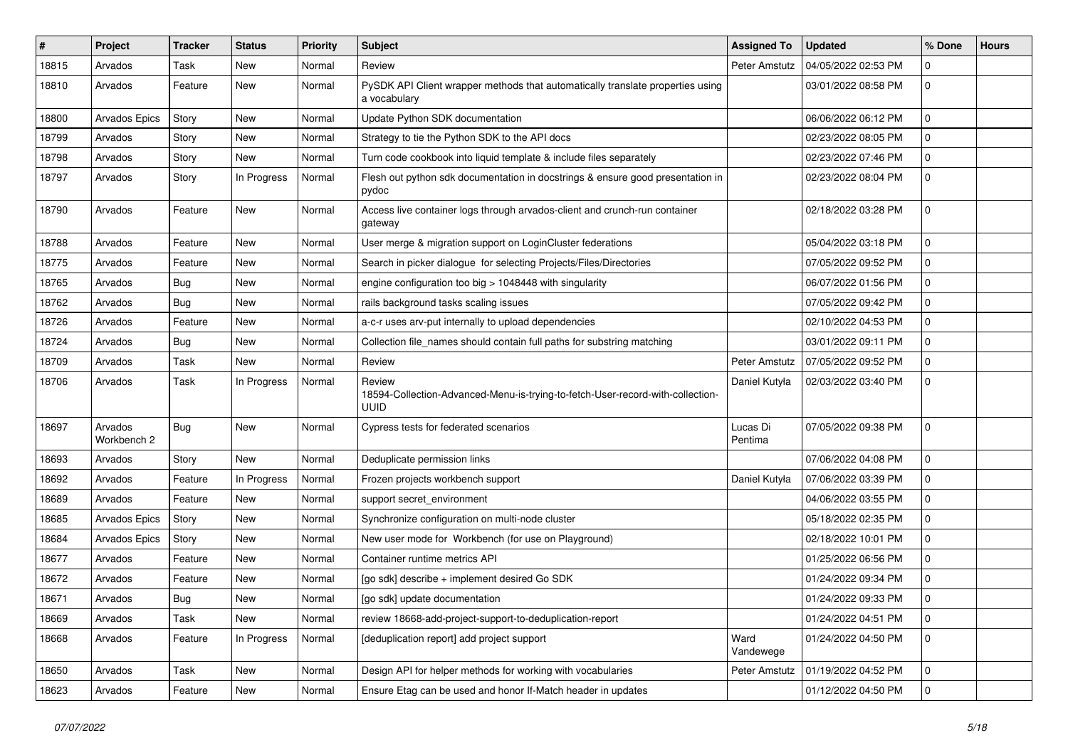| #     | Project                | <b>Tracker</b> | <b>Status</b> | <b>Priority</b> | <b>Subject</b>                                                                                   | <b>Assigned To</b>  | <b>Updated</b>      | % Done       | <b>Hours</b> |
|-------|------------------------|----------------|---------------|-----------------|--------------------------------------------------------------------------------------------------|---------------------|---------------------|--------------|--------------|
| 18815 | Arvados                | Task           | New           | Normal          | Review                                                                                           | Peter Amstutz       | 04/05/2022 02:53 PM | 0            |              |
| 18810 | Arvados                | Feature        | New           | Normal          | PySDK API Client wrapper methods that automatically translate properties using<br>a vocabulary   |                     | 03/01/2022 08:58 PM | 0            |              |
| 18800 | <b>Arvados Epics</b>   | Story          | New           | Normal          | Update Python SDK documentation                                                                  |                     | 06/06/2022 06:12 PM | 0            |              |
| 18799 | Arvados                | Story          | New           | Normal          | Strategy to tie the Python SDK to the API docs                                                   |                     | 02/23/2022 08:05 PM | 0            |              |
| 18798 | Arvados                | Story          | New           | Normal          | Turn code cookbook into liquid template & include files separately                               |                     | 02/23/2022 07:46 PM | 0            |              |
| 18797 | Arvados                | Story          | In Progress   | Normal          | Flesh out python sdk documentation in docstrings & ensure good presentation in<br>pydoc          |                     | 02/23/2022 08:04 PM | 0            |              |
| 18790 | Arvados                | Feature        | New           | Normal          | Access live container logs through arvados-client and crunch-run container<br>gateway            |                     | 02/18/2022 03:28 PM | 0            |              |
| 18788 | Arvados                | Feature        | New           | Normal          | User merge & migration support on LoginCluster federations                                       |                     | 05/04/2022 03:18 PM | 0            |              |
| 18775 | Arvados                | Feature        | New           | Normal          | Search in picker dialogue for selecting Projects/Files/Directories                               |                     | 07/05/2022 09:52 PM | 0            |              |
| 18765 | Arvados                | Bug            | New           | Normal          | engine configuration too big > 1048448 with singularity                                          |                     | 06/07/2022 01:56 PM | 0            |              |
| 18762 | Arvados                | Bug            | New           | Normal          | rails background tasks scaling issues                                                            |                     | 07/05/2022 09:42 PM | 0            |              |
| 18726 | Arvados                | Feature        | New           | Normal          | a-c-r uses arv-put internally to upload dependencies                                             |                     | 02/10/2022 04:53 PM | 0            |              |
| 18724 | Arvados                | Bug            | New           | Normal          | Collection file_names should contain full paths for substring matching                           |                     | 03/01/2022 09:11 PM | 0            |              |
| 18709 | Arvados                | Task           | New           | Normal          | Review                                                                                           | Peter Amstutz       | 07/05/2022 09:52 PM | 0            |              |
| 18706 | Arvados                | Task           | In Progress   | Normal          | Review<br>18594-Collection-Advanced-Menu-is-trying-to-fetch-User-record-with-collection-<br>uuid | Daniel Kutyła       | 02/03/2022 03:40 PM | $\mathbf{0}$ |              |
| 18697 | Arvados<br>Workbench 2 | Bug            | New           | Normal          | Cypress tests for federated scenarios                                                            | Lucas Di<br>Pentima | 07/05/2022 09:38 PM | 0            |              |
| 18693 | Arvados                | Story          | New           | Normal          | Deduplicate permission links                                                                     |                     | 07/06/2022 04:08 PM | 0            |              |
| 18692 | Arvados                | Feature        | In Progress   | Normal          | Frozen projects workbench support                                                                | Daniel Kutyła       | 07/06/2022 03:39 PM | 0            |              |
| 18689 | Arvados                | Feature        | New           | Normal          | support secret_environment                                                                       |                     | 04/06/2022 03:55 PM | 0            |              |
| 18685 | Arvados Epics          | Story          | New           | Normal          | Synchronize configuration on multi-node cluster                                                  |                     | 05/18/2022 02:35 PM | 0            |              |
| 18684 | Arvados Epics          | Story          | New           | Normal          | New user mode for Workbench (for use on Playground)                                              |                     | 02/18/2022 10:01 PM | 0            |              |
| 18677 | Arvados                | Feature        | New           | Normal          | Container runtime metrics API                                                                    |                     | 01/25/2022 06:56 PM | 0            |              |
| 18672 | Arvados                | Feature        | New           | Normal          | [go sdk] describe + implement desired Go SDK                                                     |                     | 01/24/2022 09:34 PM | 0            |              |
| 18671 | Arvados                | Bug            | New           | Normal          | [go sdk] update documentation                                                                    |                     | 01/24/2022 09:33 PM | $\mathbf 0$  |              |
| 18669 | Arvados                | Task           | New           | Normal          | review 18668-add-project-support-to-deduplication-report                                         |                     | 01/24/2022 04:51 PM | $\mathbf 0$  |              |
| 18668 | Arvados                | Feature        | In Progress   | Normal          | [deduplication report] add project support                                                       | Ward<br>Vandewege   | 01/24/2022 04:50 PM | $\mathbf 0$  |              |
| 18650 | Arvados                | Task           | New           | Normal          | Design API for helper methods for working with vocabularies                                      | Peter Amstutz       | 01/19/2022 04:52 PM | 0            |              |
| 18623 | Arvados                | Feature        | New           | Normal          | Ensure Etag can be used and honor If-Match header in updates                                     |                     | 01/12/2022 04:50 PM | 0            |              |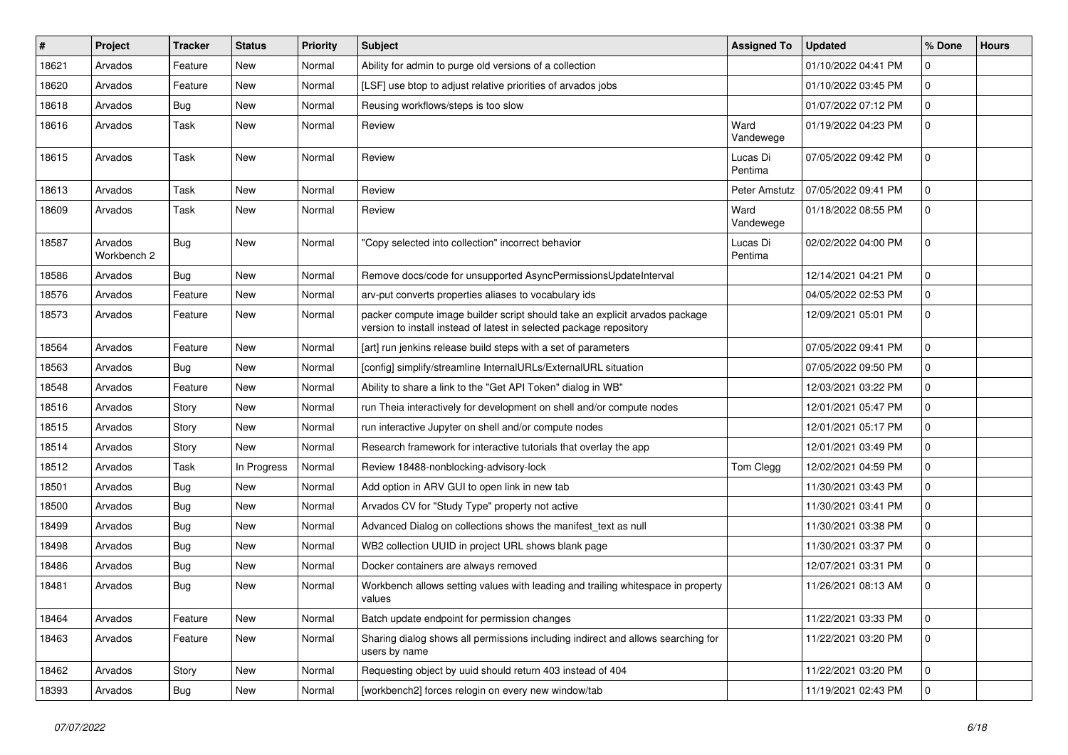| #     | <b>Project</b>         | <b>Tracker</b> | <b>Status</b> | <b>Priority</b> | <b>Subject</b>                                                                                                                                     | <b>Assigned To</b>  | <b>Updated</b>      | % Done       | <b>Hours</b> |
|-------|------------------------|----------------|---------------|-----------------|----------------------------------------------------------------------------------------------------------------------------------------------------|---------------------|---------------------|--------------|--------------|
| 18621 | Arvados                | Feature        | New           | Normal          | Ability for admin to purge old versions of a collection                                                                                            |                     | 01/10/2022 04:41 PM | 0            |              |
| 18620 | Arvados                | Feature        | <b>New</b>    | Normal          | [LSF] use btop to adjust relative priorities of arvados jobs                                                                                       |                     | 01/10/2022 03:45 PM | 0            |              |
| 18618 | Arvados                | <b>Bug</b>     | New           | Normal          | Reusing workflows/steps is too slow                                                                                                                |                     | 01/07/2022 07:12 PM | 0            |              |
| 18616 | Arvados                | Task           | New           | Normal          | Review                                                                                                                                             | Ward<br>Vandewege   | 01/19/2022 04:23 PM | 0            |              |
| 18615 | Arvados                | Task           | New           | Normal          | Review                                                                                                                                             | Lucas Di<br>Pentima | 07/05/2022 09:42 PM | 0            |              |
| 18613 | Arvados                | Task           | New           | Normal          | Review                                                                                                                                             | Peter Amstutz       | 07/05/2022 09:41 PM | $\mathbf{0}$ |              |
| 18609 | Arvados                | Task           | New           | Normal          | Review                                                                                                                                             | Ward<br>Vandewege   | 01/18/2022 08:55 PM | 0            |              |
| 18587 | Arvados<br>Workbench 2 | <b>Bug</b>     | New           | Normal          | 'Copy selected into collection" incorrect behavior                                                                                                 | Lucas Di<br>Pentima | 02/02/2022 04:00 PM | 0            |              |
| 18586 | Arvados                | Bug            | <b>New</b>    | Normal          | Remove docs/code for unsupported AsyncPermissionsUpdateInterval                                                                                    |                     | 12/14/2021 04:21 PM | 0            |              |
| 18576 | Arvados                | Feature        | New           | Normal          | arv-put converts properties aliases to vocabulary ids                                                                                              |                     | 04/05/2022 02:53 PM | 0            |              |
| 18573 | Arvados                | Feature        | New           | Normal          | packer compute image builder script should take an explicit arvados package<br>version to install instead of latest in selected package repository |                     | 12/09/2021 05:01 PM | 0            |              |
| 18564 | Arvados                | Feature        | <b>New</b>    | Normal          | [art] run jenkins release build steps with a set of parameters                                                                                     |                     | 07/05/2022 09:41 PM | 0            |              |
| 18563 | Arvados                | Bug            | <b>New</b>    | Normal          | [config] simplify/streamline InternalURLs/ExternalURL situation                                                                                    |                     | 07/05/2022 09:50 PM | 0            |              |
| 18548 | Arvados                | Feature        | New           | Normal          | Ability to share a link to the "Get API Token" dialog in WB"                                                                                       |                     | 12/03/2021 03:22 PM | 0            |              |
| 18516 | Arvados                | Story          | New           | Normal          | run Theia interactively for development on shell and/or compute nodes                                                                              |                     | 12/01/2021 05:47 PM | 0            |              |
| 18515 | Arvados                | Story          | <b>New</b>    | Normal          | run interactive Jupyter on shell and/or compute nodes                                                                                              |                     | 12/01/2021 05:17 PM | 0            |              |
| 18514 | Arvados                | Story          | New           | Normal          | Research framework for interactive tutorials that overlay the app                                                                                  |                     | 12/01/2021 03:49 PM | 0            |              |
| 18512 | Arvados                | Task           | In Progress   | Normal          | Review 18488-nonblocking-advisory-lock                                                                                                             | Tom Clegg           | 12/02/2021 04:59 PM | 0            |              |
| 18501 | Arvados                | Bug            | New           | Normal          | Add option in ARV GUI to open link in new tab                                                                                                      |                     | 11/30/2021 03:43 PM | 0            |              |
| 18500 | Arvados                | <b>Bug</b>     | <b>New</b>    | Normal          | Arvados CV for "Study Type" property not active                                                                                                    |                     | 11/30/2021 03:41 PM | 0            |              |
| 18499 | Arvados                | <b>Bug</b>     | <b>New</b>    | Normal          | Advanced Dialog on collections shows the manifest_text as null                                                                                     |                     | 11/30/2021 03:38 PM | 0            |              |
| 18498 | Arvados                | <b>Bug</b>     | New           | Normal          | WB2 collection UUID in project URL shows blank page                                                                                                |                     | 11/30/2021 03:37 PM | 0            |              |
| 18486 | Arvados                | <b>Bug</b>     | New           | Normal          | Docker containers are always removed                                                                                                               |                     | 12/07/2021 03:31 PM | 0            |              |
| 18481 | Arvados                | Bug            | New           | Normal          | Workbench allows setting values with leading and trailing whitespace in property<br>values                                                         |                     | 11/26/2021 08:13 AM | 0            |              |
| 18464 | Arvados                | Feature        | New           | Normal          | Batch update endpoint for permission changes                                                                                                       |                     | 11/22/2021 03:33 PM | 0            |              |
| 18463 | Arvados                | Feature        | New           | Normal          | Sharing dialog shows all permissions including indirect and allows searching for<br>users by name                                                  |                     | 11/22/2021 03:20 PM | $\mathbf 0$  |              |
| 18462 | Arvados                | Story          | New           | Normal          | Requesting object by uuid should return 403 instead of 404                                                                                         |                     | 11/22/2021 03:20 PM | 0            |              |
| 18393 | Arvados                | <b>Bug</b>     | New           | Normal          | [workbench2] forces relogin on every new window/tab                                                                                                |                     | 11/19/2021 02:43 PM | 0            |              |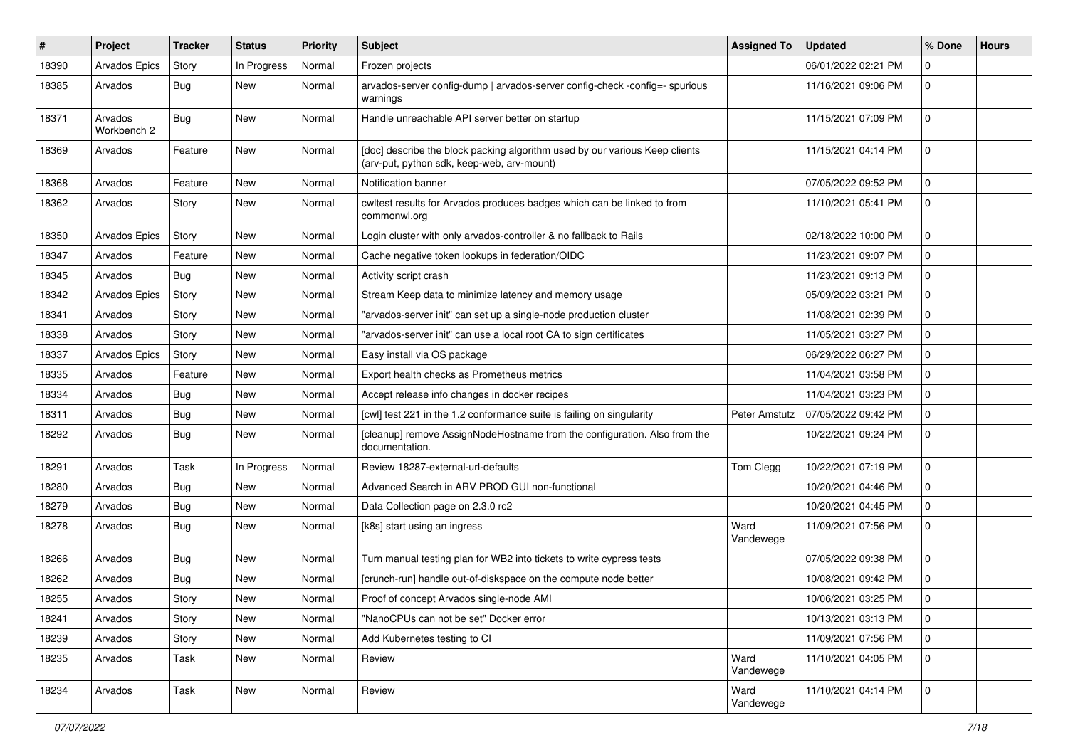| ∦     | Project                | Tracker    | <b>Status</b> | <b>Priority</b> | <b>Subject</b>                                                                                                            | <b>Assigned To</b> | <b>Updated</b>      | % Done       | <b>Hours</b> |
|-------|------------------------|------------|---------------|-----------------|---------------------------------------------------------------------------------------------------------------------------|--------------------|---------------------|--------------|--------------|
| 18390 | <b>Arvados Epics</b>   | Story      | In Progress   | Normal          | Frozen projects                                                                                                           |                    | 06/01/2022 02:21 PM | $\Omega$     |              |
| 18385 | Arvados                | Bug        | New           | Normal          | arvados-server config-dump   arvados-server config-check -config=- spurious<br>warnings                                   |                    | 11/16/2021 09:06 PM | 0            |              |
| 18371 | Arvados<br>Workbench 2 | Bug        | New           | Normal          | Handle unreachable API server better on startup                                                                           |                    | 11/15/2021 07:09 PM | $\Omega$     |              |
| 18369 | Arvados                | Feature    | <b>New</b>    | Normal          | [doc] describe the block packing algorithm used by our various Keep clients<br>(arv-put, python sdk, keep-web, arv-mount) |                    | 11/15/2021 04:14 PM | $\Omega$     |              |
| 18368 | Arvados                | Feature    | <b>New</b>    | Normal          | Notification banner                                                                                                       |                    | 07/05/2022 09:52 PM | 0            |              |
| 18362 | Arvados                | Story      | New           | Normal          | cwltest results for Arvados produces badges which can be linked to from<br>commonwl.org                                   |                    | 11/10/2021 05:41 PM | 0            |              |
| 18350 | Arvados Epics          | Story      | <b>New</b>    | Normal          | Login cluster with only arvados-controller & no fallback to Rails                                                         |                    | 02/18/2022 10:00 PM | $\mathbf 0$  |              |
| 18347 | Arvados                | Feature    | New           | Normal          | Cache negative token lookups in federation/OIDC                                                                           |                    | 11/23/2021 09:07 PM | 0            |              |
| 18345 | Arvados                | Bug        | New           | Normal          | Activity script crash                                                                                                     |                    | 11/23/2021 09:13 PM | 0            |              |
| 18342 | Arvados Epics          | Story      | <b>New</b>    | Normal          | Stream Keep data to minimize latency and memory usage                                                                     |                    | 05/09/2022 03:21 PM | $\mathbf 0$  |              |
| 18341 | Arvados                | Story      | <b>New</b>    | Normal          | "arvados-server init" can set up a single-node production cluster                                                         |                    | 11/08/2021 02:39 PM | $\Omega$     |              |
| 18338 | Arvados                | Story      | <b>New</b>    | Normal          | "arvados-server init" can use a local root CA to sign certificates                                                        |                    | 11/05/2021 03:27 PM | $\mathbf{0}$ |              |
| 18337 | <b>Arvados Epics</b>   | Story      | New           | Normal          | Easy install via OS package                                                                                               |                    | 06/29/2022 06:27 PM | 0            |              |
| 18335 | Arvados                | Feature    | <b>New</b>    | Normal          | Export health checks as Prometheus metrics                                                                                |                    | 11/04/2021 03:58 PM | 0            |              |
| 18334 | Arvados                | Bug        | <b>New</b>    | Normal          | Accept release info changes in docker recipes                                                                             |                    | 11/04/2021 03:23 PM | $\Omega$     |              |
| 18311 | Arvados                | <b>Bug</b> | New           | Normal          | [cwl] test 221 in the 1.2 conformance suite is failing on singularity                                                     | Peter Amstutz      | 07/05/2022 09:42 PM | $\Omega$     |              |
| 18292 | Arvados                | Bug        | New           | Normal          | [cleanup] remove AssignNodeHostname from the configuration. Also from the<br>documentation.                               |                    | 10/22/2021 09:24 PM | 0            |              |
| 18291 | Arvados                | Task       | In Progress   | Normal          | Review 18287-external-url-defaults                                                                                        | Tom Clegg          | 10/22/2021 07:19 PM | $\mathbf{0}$ |              |
| 18280 | Arvados                | Bug        | New           | Normal          | Advanced Search in ARV PROD GUI non-functional                                                                            |                    | 10/20/2021 04:46 PM | $\mathbf{0}$ |              |
| 18279 | Arvados                | Bug        | New           | Normal          | Data Collection page on 2.3.0 rc2                                                                                         |                    | 10/20/2021 04:45 PM | 0            |              |
| 18278 | Arvados                | Bug        | New           | Normal          | [k8s] start using an ingress                                                                                              | Ward<br>Vandewege  | 11/09/2021 07:56 PM | 0            |              |
| 18266 | Arvados                | Bug        | New           | Normal          | Turn manual testing plan for WB2 into tickets to write cypress tests                                                      |                    | 07/05/2022 09:38 PM | 0            |              |
| 18262 | Arvados                | Bug        | New           | Normal          | [crunch-run] handle out-of-diskspace on the compute node better                                                           |                    | 10/08/2021 09:42 PM | $\mathbf{0}$ |              |
| 18255 | Arvados                | Story      | <b>New</b>    | Normal          | Proof of concept Arvados single-node AMI                                                                                  |                    | 10/06/2021 03:25 PM | $\Omega$     |              |
| 18241 | Arvados                | Story      | New           | Normal          | "NanoCPUs can not be set" Docker error                                                                                    |                    | 10/13/2021 03:13 PM | $\mathbf 0$  |              |
| 18239 | Arvados                | Story      | New           | Normal          | Add Kubernetes testing to CI                                                                                              |                    | 11/09/2021 07:56 PM | $\mathbf 0$  |              |
| 18235 | Arvados                | Task       | New           | Normal          | Review                                                                                                                    | Ward<br>Vandewege  | 11/10/2021 04:05 PM | $\Omega$     |              |
| 18234 | Arvados                | Task       | New           | Normal          | Review                                                                                                                    | Ward<br>Vandewege  | 11/10/2021 04:14 PM | $\mathbf 0$  |              |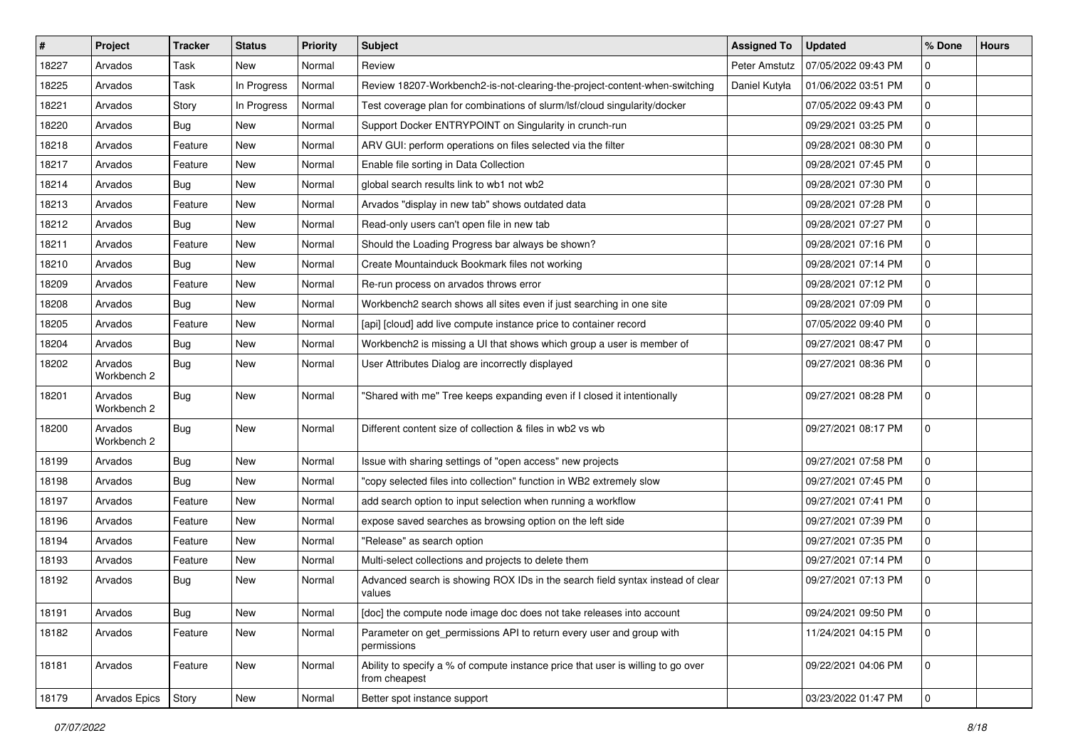| $\#$  | Project                | <b>Tracker</b> | <b>Status</b> | Priority | Subject                                                                                           | <b>Assigned To</b> | <b>Updated</b>      | % Done       | <b>Hours</b> |
|-------|------------------------|----------------|---------------|----------|---------------------------------------------------------------------------------------------------|--------------------|---------------------|--------------|--------------|
| 18227 | Arvados                | Task           | New           | Normal   | Review                                                                                            | Peter Amstutz      | 07/05/2022 09:43 PM | 0            |              |
| 18225 | Arvados                | Task           | In Progress   | Normal   | Review 18207-Workbench2-is-not-clearing-the-project-content-when-switching                        | Daniel Kutyła      | 01/06/2022 03:51 PM | 0            |              |
| 18221 | Arvados                | Story          | In Progress   | Normal   | Test coverage plan for combinations of slurm/lsf/cloud singularity/docker                         |                    | 07/05/2022 09:43 PM | $\mathbf{0}$ |              |
| 18220 | Arvados                | <b>Bug</b>     | <b>New</b>    | Normal   | Support Docker ENTRYPOINT on Singularity in crunch-run                                            |                    | 09/29/2021 03:25 PM | 0            |              |
| 18218 | Arvados                | Feature        | <b>New</b>    | Normal   | ARV GUI: perform operations on files selected via the filter                                      |                    | 09/28/2021 08:30 PM | $\mathbf{0}$ |              |
| 18217 | Arvados                | Feature        | New           | Normal   | Enable file sorting in Data Collection                                                            |                    | 09/28/2021 07:45 PM | 0            |              |
| 18214 | Arvados                | <b>Bug</b>     | <b>New</b>    | Normal   | global search results link to wb1 not wb2                                                         |                    | 09/28/2021 07:30 PM | $\mathbf 0$  |              |
| 18213 | Arvados                | Feature        | New           | Normal   | Arvados "display in new tab" shows outdated data                                                  |                    | 09/28/2021 07:28 PM | $\mathbf 0$  |              |
| 18212 | Arvados                | <b>Bug</b>     | New           | Normal   | Read-only users can't open file in new tab                                                        |                    | 09/28/2021 07:27 PM | 0            |              |
| 18211 | Arvados                | Feature        | <b>New</b>    | Normal   | Should the Loading Progress bar always be shown?                                                  |                    | 09/28/2021 07:16 PM | $\mathbf{0}$ |              |
| 18210 | Arvados                | <b>Bug</b>     | New           | Normal   | Create Mountainduck Bookmark files not working                                                    |                    | 09/28/2021 07:14 PM | $\mathbf{0}$ |              |
| 18209 | Arvados                | Feature        | New           | Normal   | Re-run process on arvados throws error                                                            |                    | 09/28/2021 07:12 PM | 0            |              |
| 18208 | Arvados                | <b>Bug</b>     | <b>New</b>    | Normal   | Workbench2 search shows all sites even if just searching in one site                              |                    | 09/28/2021 07:09 PM | $\mathbf{0}$ |              |
| 18205 | Arvados                | Feature        | New           | Normal   | [api] [cloud] add live compute instance price to container record                                 |                    | 07/05/2022 09:40 PM | $\Omega$     |              |
| 18204 | Arvados                | Bug            | New           | Normal   | Workbench2 is missing a UI that shows which group a user is member of                             |                    | 09/27/2021 08:47 PM | 0            |              |
| 18202 | Arvados<br>Workbench 2 | Bug            | New           | Normal   | User Attributes Dialog are incorrectly displayed                                                  |                    | 09/27/2021 08:36 PM | $\Omega$     |              |
| 18201 | Arvados<br>Workbench 2 | <b>Bug</b>     | <b>New</b>    | Normal   | "Shared with me" Tree keeps expanding even if I closed it intentionally                           |                    | 09/27/2021 08:28 PM | $\mathbf 0$  |              |
| 18200 | Arvados<br>Workbench 2 | Bug            | New           | Normal   | Different content size of collection & files in wb2 vs wb                                         |                    | 09/27/2021 08:17 PM | $\mathbf 0$  |              |
| 18199 | Arvados                | Bug            | <b>New</b>    | Normal   | Issue with sharing settings of "open access" new projects                                         |                    | 09/27/2021 07:58 PM | $\mathbf{0}$ |              |
| 18198 | Arvados                | Bug            | <b>New</b>    | Normal   | "copy selected files into collection" function in WB2 extremely slow                              |                    | 09/27/2021 07:45 PM | 0            |              |
| 18197 | Arvados                | Feature        | New           | Normal   | add search option to input selection when running a workflow                                      |                    | 09/27/2021 07:41 PM | $\mathbf 0$  |              |
| 18196 | Arvados                | Feature        | New           | Normal   | expose saved searches as browsing option on the left side                                         |                    | 09/27/2021 07:39 PM | 0            |              |
| 18194 | Arvados                | Feature        | <b>New</b>    | Normal   | "Release" as search option                                                                        |                    | 09/27/2021 07:35 PM | $\mathbf{0}$ |              |
| 18193 | Arvados                | Feature        | New           | Normal   | Multi-select collections and projects to delete them                                              |                    | 09/27/2021 07:14 PM | $\mathbf{0}$ |              |
| 18192 | Arvados                | Bug            | New           | Normal   | Advanced search is showing ROX IDs in the search field syntax instead of clear<br>values          |                    | 09/27/2021 07:13 PM | $\Omega$     |              |
| 18191 | Arvados                | <b>Bug</b>     | New           | Normal   | [doc] the compute node image doc does not take releases into account                              |                    | 09/24/2021 09:50 PM | 0            |              |
| 18182 | Arvados                | Feature        | <b>New</b>    | Normal   | Parameter on get_permissions API to return every user and group with<br>permissions               |                    | 11/24/2021 04:15 PM | $\mathbf 0$  |              |
| 18181 | Arvados                | Feature        | New           | Normal   | Ability to specify a % of compute instance price that user is willing to go over<br>from cheapest |                    | 09/22/2021 04:06 PM | $\mathbf 0$  |              |
| 18179 | Arvados Epics          | Story          | New           | Normal   | Better spot instance support                                                                      |                    | 03/23/2022 01:47 PM | $\mathbf 0$  |              |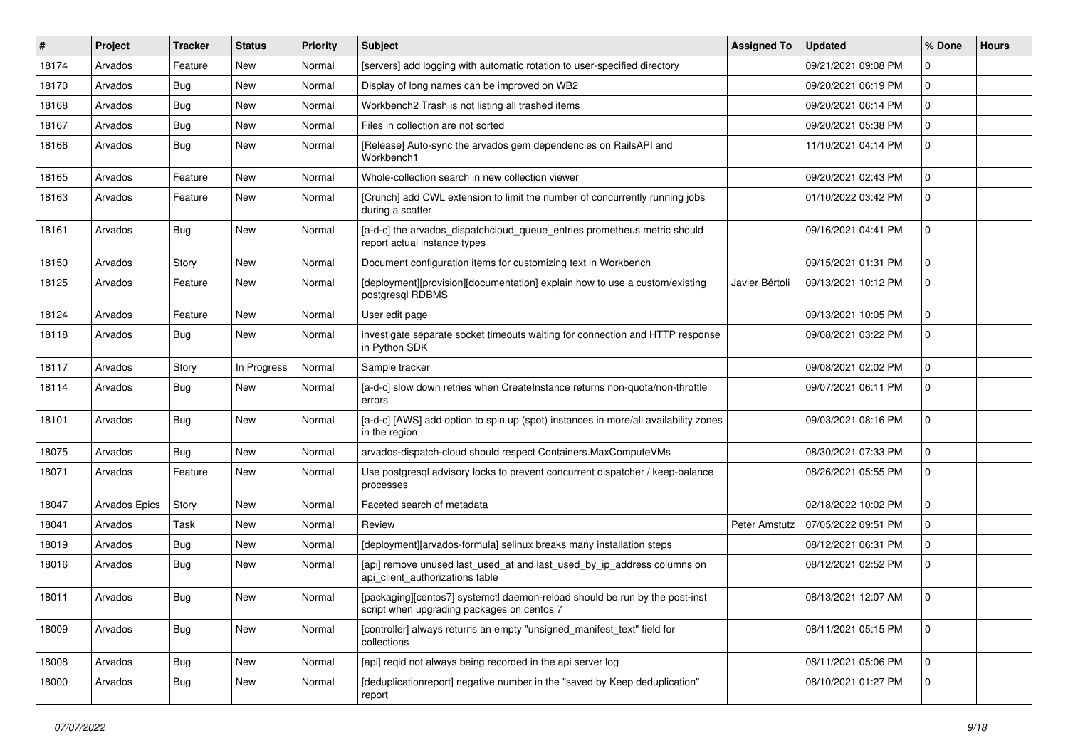| #     | <b>Project</b>       | <b>Tracker</b> | <b>Status</b> | Priority | <b>Subject</b>                                                                                                            | <b>Assigned To</b> | <b>Updated</b>      | % Done      | <b>Hours</b> |
|-------|----------------------|----------------|---------------|----------|---------------------------------------------------------------------------------------------------------------------------|--------------------|---------------------|-------------|--------------|
| 18174 | Arvados              | Feature        | New           | Normal   | [servers] add logging with automatic rotation to user-specified directory                                                 |                    | 09/21/2021 09:08 PM | 0           |              |
| 18170 | Arvados              | Bug            | <b>New</b>    | Normal   | Display of long names can be improved on WB2                                                                              |                    | 09/20/2021 06:19 PM | 0           |              |
| 18168 | Arvados              | <b>Bug</b>     | New           | Normal   | Workbench2 Trash is not listing all trashed items                                                                         |                    | 09/20/2021 06:14 PM | 0           |              |
| 18167 | Arvados              | <b>Bug</b>     | New           | Normal   | Files in collection are not sorted                                                                                        |                    | 09/20/2021 05:38 PM | 0           |              |
| 18166 | Arvados              | <b>Bug</b>     | New           | Normal   | [Release] Auto-sync the arvados gem dependencies on RailsAPI and<br>Workbench1                                            |                    | 11/10/2021 04:14 PM | 0           |              |
| 18165 | Arvados              | Feature        | <b>New</b>    | Normal   | Whole-collection search in new collection viewer                                                                          |                    | 09/20/2021 02:43 PM | 0           |              |
| 18163 | Arvados              | Feature        | New           | Normal   | [Crunch] add CWL extension to limit the number of concurrently running jobs<br>during a scatter                           |                    | 01/10/2022 03:42 PM | 0           |              |
| 18161 | Arvados              | <b>Bug</b>     | New           | Normal   | [a-d-c] the arvados_dispatchcloud_queue_entries prometheus metric should<br>report actual instance types                  |                    | 09/16/2021 04:41 PM | 0           |              |
| 18150 | Arvados              | Story          | <b>New</b>    | Normal   | Document configuration items for customizing text in Workbench                                                            |                    | 09/15/2021 01:31 PM | 0           |              |
| 18125 | Arvados              | Feature        | New           | Normal   | [deployment][provision][documentation] explain how to use a custom/existing<br>postgresql RDBMS                           | Javier Bértoli     | 09/13/2021 10:12 PM | 0           |              |
| 18124 | Arvados              | Feature        | New           | Normal   | User edit page                                                                                                            |                    | 09/13/2021 10:05 PM | 0           |              |
| 18118 | Arvados              | Bug            | New           | Normal   | investigate separate socket timeouts waiting for connection and HTTP response<br>in Python SDK                            |                    | 09/08/2021 03:22 PM | 0           |              |
| 18117 | Arvados              | Story          | In Progress   | Normal   | Sample tracker                                                                                                            |                    | 09/08/2021 02:02 PM | 0           |              |
| 18114 | Arvados              | Bug            | New           | Normal   | [a-d-c] slow down retries when CreateInstance returns non-quota/non-throttle<br>errors                                    |                    | 09/07/2021 06:11 PM | 0           |              |
| 18101 | Arvados              | <b>Bug</b>     | <b>New</b>    | Normal   | [a-d-c] [AWS] add option to spin up (spot) instances in more/all availability zones<br>in the region                      |                    | 09/03/2021 08:16 PM | 0           |              |
| 18075 | Arvados              | <b>Bug</b>     | <b>New</b>    | Normal   | arvados-dispatch-cloud should respect Containers.MaxComputeVMs                                                            |                    | 08/30/2021 07:33 PM | 0           |              |
| 18071 | Arvados              | Feature        | New           | Normal   | Use postgresql advisory locks to prevent concurrent dispatcher / keep-balance<br>processes                                |                    | 08/26/2021 05:55 PM | 0           |              |
| 18047 | <b>Arvados Epics</b> | Story          | New           | Normal   | Faceted search of metadata                                                                                                |                    | 02/18/2022 10:02 PM | 0           |              |
| 18041 | Arvados              | Task           | New           | Normal   | Review                                                                                                                    | Peter Amstutz      | 07/05/2022 09:51 PM | 0           |              |
| 18019 | Arvados              | <b>Bug</b>     | New           | Normal   | [deployment][arvados-formula] selinux breaks many installation steps                                                      |                    | 08/12/2021 06:31 PM | 0           |              |
| 18016 | Arvados              | Bug            | New           | Normal   | [api] remove unused last_used_at and last_used_by_ip_address columns on<br>api_client_authorizations table                |                    | 08/12/2021 02:52 PM | 0           |              |
| 18011 | Arvados              | Bug            | New           | Normal   | [packaging][centos7] systemctl daemon-reload should be run by the post-inst<br>script when upgrading packages on centos 7 |                    | 08/13/2021 12:07 AM | 0           |              |
| 18009 | Arvados              | <b>Bug</b>     | New           | Normal   | [controller] always returns an empty "unsigned_manifest_text" field for<br>collections                                    |                    | 08/11/2021 05:15 PM | 0           |              |
| 18008 | Arvados              | <b>Bug</b>     | New           | Normal   | [api] reqid not always being recorded in the api server log                                                               |                    | 08/11/2021 05:06 PM | $\mathbf 0$ |              |
| 18000 | Arvados              | <b>Bug</b>     | New           | Normal   | [deduplicationreport] negative number in the "saved by Keep deduplication"<br>report                                      |                    | 08/10/2021 01:27 PM | 0           |              |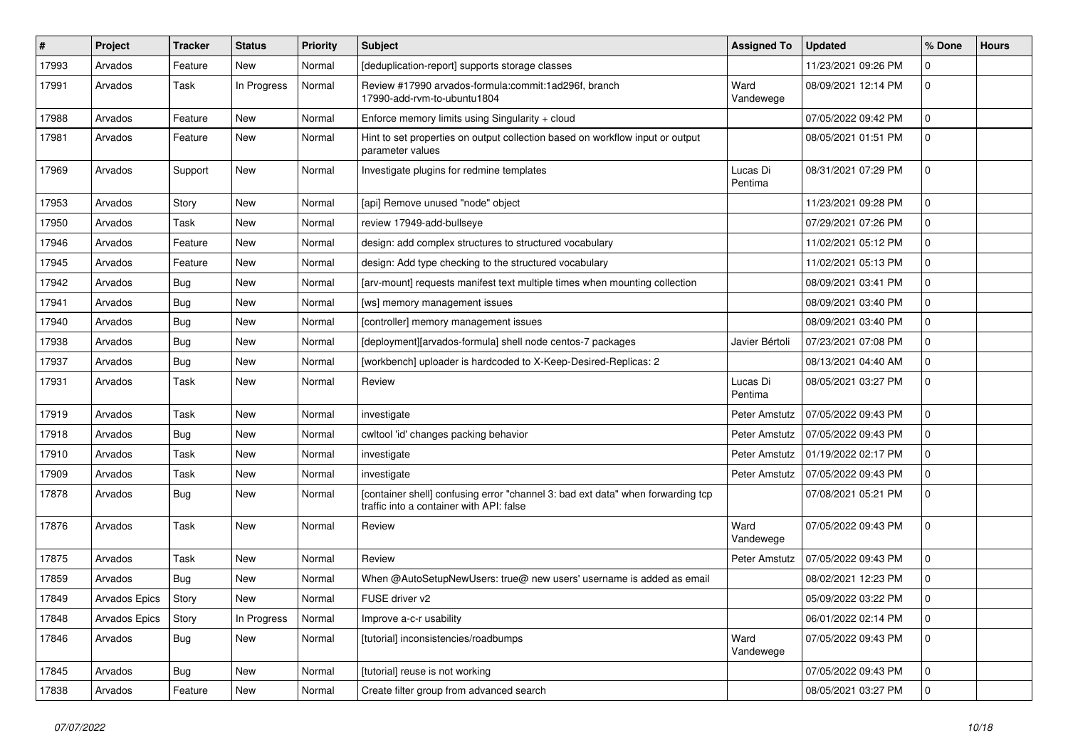| #     | Project       | <b>Tracker</b> | <b>Status</b> | <b>Priority</b> | Subject                                                                                                                     | <b>Assigned To</b>  | <b>Updated</b>      | % Done       | <b>Hours</b> |
|-------|---------------|----------------|---------------|-----------------|-----------------------------------------------------------------------------------------------------------------------------|---------------------|---------------------|--------------|--------------|
| 17993 | Arvados       | Feature        | <b>New</b>    | Normal          | [deduplication-report] supports storage classes                                                                             |                     | 11/23/2021 09:26 PM | 0            |              |
| 17991 | Arvados       | Task           | In Progress   | Normal          | Review #17990 arvados-formula:commit:1ad296f, branch<br>17990-add-rym-to-ubuntu1804                                         | Ward<br>Vandewege   | 08/09/2021 12:14 PM | $\Omega$     |              |
| 17988 | Arvados       | Feature        | <b>New</b>    | Normal          | Enforce memory limits using Singularity + cloud                                                                             |                     | 07/05/2022 09:42 PM | $\mathbf 0$  |              |
| 17981 | Arvados       | Feature        | <b>New</b>    | Normal          | Hint to set properties on output collection based on workflow input or output<br>parameter values                           |                     | 08/05/2021 01:51 PM | 0            |              |
| 17969 | Arvados       | Support        | <b>New</b>    | Normal          | Investigate plugins for redmine templates                                                                                   | Lucas Di<br>Pentima | 08/31/2021 07:29 PM | 0            |              |
| 17953 | Arvados       | Story          | New           | Normal          | [api] Remove unused "node" object                                                                                           |                     | 11/23/2021 09:28 PM | $\Omega$     |              |
| 17950 | Arvados       | Task           | New           | Normal          | review 17949-add-bullseye                                                                                                   |                     | 07/29/2021 07:26 PM | 0            |              |
| 17946 | Arvados       | Feature        | <b>New</b>    | Normal          | design: add complex structures to structured vocabulary                                                                     |                     | 11/02/2021 05:12 PM | 0            |              |
| 17945 | Arvados       | Feature        | New           | Normal          | design: Add type checking to the structured vocabulary                                                                      |                     | 11/02/2021 05:13 PM | $\mathbf 0$  |              |
| 17942 | Arvados       | <b>Bug</b>     | New           | Normal          | [arv-mount] requests manifest text multiple times when mounting collection                                                  |                     | 08/09/2021 03:41 PM | 0            |              |
| 17941 | Arvados       | Bug            | <b>New</b>    | Normal          | [ws] memory management issues                                                                                               |                     | 08/09/2021 03:40 PM | 0            |              |
| 17940 | Arvados       | <b>Bug</b>     | <b>New</b>    | Normal          | [controller] memory management issues                                                                                       |                     | 08/09/2021 03:40 PM | 0            |              |
| 17938 | Arvados       | Bug            | New           | Normal          | [deployment][arvados-formula] shell node centos-7 packages                                                                  | Javier Bértoli      | 07/23/2021 07:08 PM | $\mathbf{0}$ |              |
| 17937 | Arvados       | Bug            | New           | Normal          | [workbench] uploader is hardcoded to X-Keep-Desired-Replicas: 2                                                             |                     | 08/13/2021 04:40 AM | 0            |              |
| 17931 | Arvados       | Task           | <b>New</b>    | Normal          | Review                                                                                                                      | Lucas Di<br>Pentima | 08/05/2021 03:27 PM | $\Omega$     |              |
| 17919 | Arvados       | Task           | <b>New</b>    | Normal          | investigate                                                                                                                 | Peter Amstutz       | 07/05/2022 09:43 PM | $\mathbf 0$  |              |
| 17918 | Arvados       | Bug            | <b>New</b>    | Normal          | cwltool 'id' changes packing behavior                                                                                       | Peter Amstutz       | 07/05/2022 09:43 PM | 0            |              |
| 17910 | Arvados       | Task           | <b>New</b>    | Normal          | investigate                                                                                                                 | Peter Amstutz       | 01/19/2022 02:17 PM | 0            |              |
| 17909 | Arvados       | Task           | New           | Normal          | investigate                                                                                                                 | Peter Amstutz       | 07/05/2022 09:43 PM | 0            |              |
| 17878 | Arvados       | Bug            | New           | Normal          | [container shell] confusing error "channel 3: bad ext data" when forwarding tcp<br>traffic into a container with API: false |                     | 07/08/2021 05:21 PM | $\Omega$     |              |
| 17876 | Arvados       | Task           | New           | Normal          | Review                                                                                                                      | Ward<br>Vandewege   | 07/05/2022 09:43 PM | $\Omega$     |              |
| 17875 | Arvados       | Task           | <b>New</b>    | Normal          | Review                                                                                                                      | Peter Amstutz       | 07/05/2022 09:43 PM | $\mathbf 0$  |              |
| 17859 | Arvados       | Bug            | <b>New</b>    | Normal          | When @AutoSetupNewUsers: true@ new users' username is added as email                                                        |                     | 08/02/2021 12:23 PM | 0            |              |
| 17849 | Arvados Epics | Story          | New           | Normal          | FUSE driver v2                                                                                                              |                     | 05/09/2022 03:22 PM | $\Omega$     |              |
| 17848 | Arvados Epics | Story          | In Progress   | Normal          | Improve a-c-r usability                                                                                                     |                     | 06/01/2022 02:14 PM | $\mathbf 0$  |              |
| 17846 | Arvados       | <b>Bug</b>     | New           | Normal          | [tutorial] inconsistencies/roadbumps                                                                                        | Ward<br>Vandewege   | 07/05/2022 09:43 PM | $\mathbf 0$  |              |
| 17845 | Arvados       | Bug            | New           | Normal          | [tutorial] reuse is not working                                                                                             |                     | 07/05/2022 09:43 PM | $\mathbf 0$  |              |
| 17838 | Arvados       | Feature        | New           | Normal          | Create filter group from advanced search                                                                                    |                     | 08/05/2021 03:27 PM | 0            |              |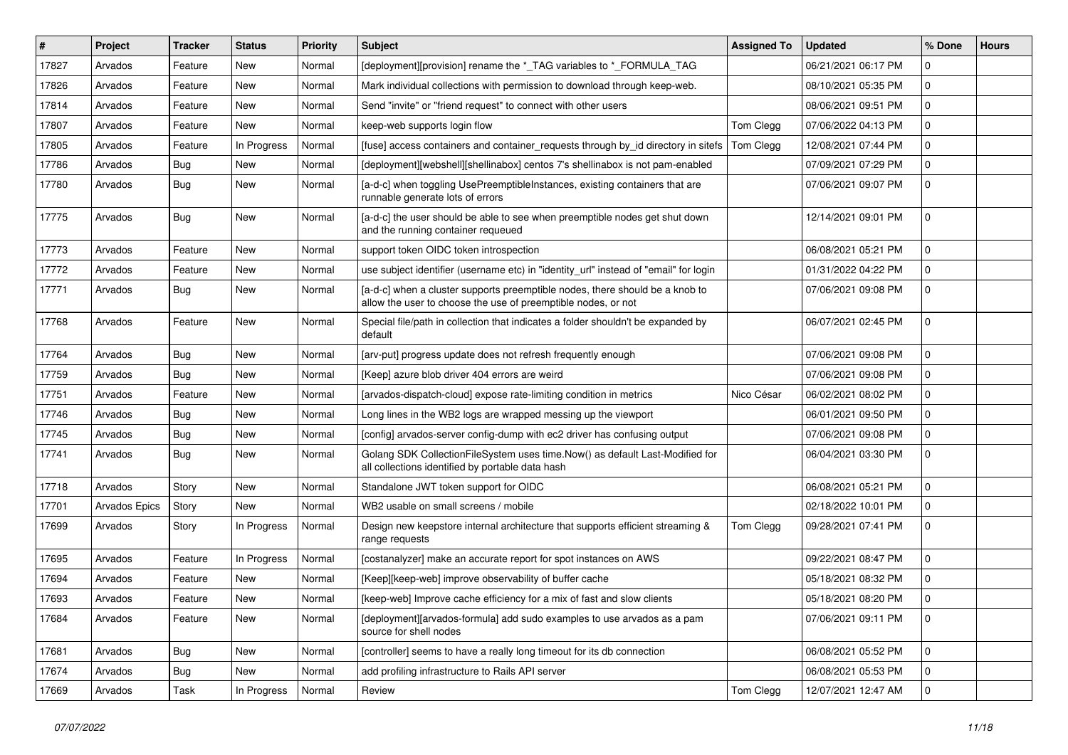| $\vert$ # | Project       | <b>Tracker</b> | <b>Status</b> | <b>Priority</b> | <b>Subject</b>                                                                                                                                | <b>Assigned To</b> | <b>Updated</b>      | % Done       | <b>Hours</b> |
|-----------|---------------|----------------|---------------|-----------------|-----------------------------------------------------------------------------------------------------------------------------------------------|--------------------|---------------------|--------------|--------------|
| 17827     | Arvados       | Feature        | New           | Normal          | [deployment][provision] rename the * TAG variables to * FORMULA TAG                                                                           |                    | 06/21/2021 06:17 PM | 0            |              |
| 17826     | Arvados       | Feature        | New           | Normal          | Mark individual collections with permission to download through keep-web.                                                                     |                    | 08/10/2021 05:35 PM | 0            |              |
| 17814     | Arvados       | Feature        | New           | Normal          | Send "invite" or "friend request" to connect with other users                                                                                 |                    | 08/06/2021 09:51 PM | $\mathbf{0}$ |              |
| 17807     | Arvados       | Feature        | <b>New</b>    | Normal          | keep-web supports login flow                                                                                                                  | Tom Clegg          | 07/06/2022 04:13 PM | 0            |              |
| 17805     | Arvados       | Feature        | In Progress   | Normal          | [fuse] access containers and container requests through by id directory in sitefs                                                             | Tom Clegg          | 12/08/2021 07:44 PM | 0            |              |
| 17786     | Arvados       | <b>Bug</b>     | <b>New</b>    | Normal          | [deployment][webshell][shellinabox] centos 7's shellinabox is not pam-enabled                                                                 |                    | 07/09/2021 07:29 PM | 0            |              |
| 17780     | Arvados       | Bug            | New           | Normal          | [a-d-c] when toggling UsePreemptibleInstances, existing containers that are<br>runnable generate lots of errors                               |                    | 07/06/2021 09:07 PM | 0            |              |
| 17775     | Arvados       | Bug            | New           | Normal          | [a-d-c] the user should be able to see when preemptible nodes get shut down<br>and the running container requeued                             |                    | 12/14/2021 09:01 PM | 0            |              |
| 17773     | Arvados       | Feature        | New           | Normal          | support token OIDC token introspection                                                                                                        |                    | 06/08/2021 05:21 PM | 0            |              |
| 17772     | Arvados       | Feature        | New           | Normal          | use subject identifier (username etc) in "identity_url" instead of "email" for login                                                          |                    | 01/31/2022 04:22 PM | 0            |              |
| 17771     | Arvados       | Bug            | New           | Normal          | [a-d-c] when a cluster supports preemptible nodes, there should be a knob to<br>allow the user to choose the use of preemptible nodes, or not |                    | 07/06/2021 09:08 PM | 0            |              |
| 17768     | Arvados       | Feature        | New           | Normal          | Special file/path in collection that indicates a folder shouldn't be expanded by<br>default                                                   |                    | 06/07/2021 02:45 PM | 0            |              |
| 17764     | Arvados       | Bug            | New           | Normal          | [arv-put] progress update does not refresh frequently enough                                                                                  |                    | 07/06/2021 09:08 PM | 0            |              |
| 17759     | Arvados       | Bug            | New           | Normal          | [Keep] azure blob driver 404 errors are weird                                                                                                 |                    | 07/06/2021 09:08 PM | 0            |              |
| 17751     | Arvados       | Feature        | New           | Normal          | [arvados-dispatch-cloud] expose rate-limiting condition in metrics                                                                            | Nico César         | 06/02/2021 08:02 PM | $\mathbf{0}$ |              |
| 17746     | Arvados       | Bug            | New           | Normal          | Long lines in the WB2 logs are wrapped messing up the viewport                                                                                |                    | 06/01/2021 09:50 PM | 0            |              |
| 17745     | Arvados       | Bug            | New           | Normal          | [config] arvados-server config-dump with ec2 driver has confusing output                                                                      |                    | 07/06/2021 09:08 PM | 0            |              |
| 17741     | Arvados       | <b>Bug</b>     | New           | Normal          | Golang SDK CollectionFileSystem uses time.Now() as default Last-Modified for<br>all collections identified by portable data hash              |                    | 06/04/2021 03:30 PM | 0            |              |
| 17718     | Arvados       | Story          | <b>New</b>    | Normal          | Standalone JWT token support for OIDC                                                                                                         |                    | 06/08/2021 05:21 PM | 0            |              |
| 17701     | Arvados Epics | Story          | New           | Normal          | WB2 usable on small screens / mobile                                                                                                          |                    | 02/18/2022 10:01 PM | 0            |              |
| 17699     | Arvados       | Story          | In Progress   | Normal          | Design new keepstore internal architecture that supports efficient streaming &<br>range requests                                              | Tom Clegg          | 09/28/2021 07:41 PM | $\Omega$     |              |
| 17695     | Arvados       | Feature        | In Progress   | Normal          | [costanalyzer] make an accurate report for spot instances on AWS                                                                              |                    | 09/22/2021 08:47 PM | 0            |              |
| 17694     | Arvados       | Feature        | New           | Normal          | [Keep][keep-web] improve observability of buffer cache                                                                                        |                    | 05/18/2021 08:32 PM | 0            |              |
| 17693     | Arvados       | Feature        | New           | Normal          | [keep-web] Improve cache efficiency for a mix of fast and slow clients                                                                        |                    | 05/18/2021 08:20 PM | $\Omega$     |              |
| 17684     | Arvados       | Feature        | New           | Normal          | [deployment][arvados-formula] add sudo examples to use arvados as a pam<br>source for shell nodes                                             |                    | 07/06/2021 09:11 PM | $\mathbf 0$  |              |
| 17681     | Arvados       | Bug            | New           | Normal          | [controller] seems to have a really long timeout for its db connection                                                                        |                    | 06/08/2021 05:52 PM | $\mathbf{0}$ |              |
| 17674     | Arvados       | <b>Bug</b>     | New           | Normal          | add profiling infrastructure to Rails API server                                                                                              |                    | 06/08/2021 05:53 PM | 0            |              |
| 17669     | Arvados       | Task           | In Progress   | Normal          | Review                                                                                                                                        | Tom Clegg          | 12/07/2021 12:47 AM | $\mathbf 0$  |              |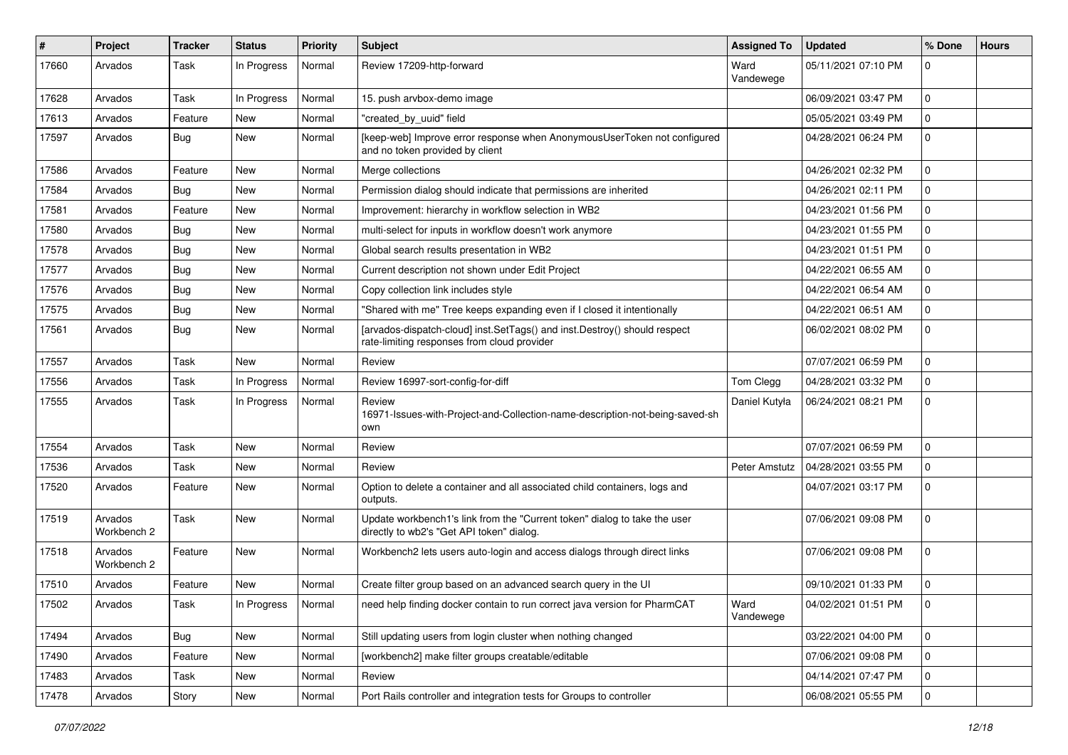| #     | Project                | <b>Tracker</b> | <b>Status</b> | <b>Priority</b> | Subject                                                                                                                  | <b>Assigned To</b> | <b>Updated</b>      | % Done      | <b>Hours</b> |
|-------|------------------------|----------------|---------------|-----------------|--------------------------------------------------------------------------------------------------------------------------|--------------------|---------------------|-------------|--------------|
| 17660 | Arvados                | Task           | In Progress   | Normal          | Review 17209-http-forward                                                                                                | Ward<br>Vandewege  | 05/11/2021 07:10 PM | 0           |              |
| 17628 | Arvados                | Task           | In Progress   | Normal          | 15. push arvbox-demo image                                                                                               |                    | 06/09/2021 03:47 PM | 0           |              |
| 17613 | Arvados                | Feature        | New           | Normal          | "created by uuid" field                                                                                                  |                    | 05/05/2021 03:49 PM | 0           |              |
| 17597 | Arvados                | Bug            | <b>New</b>    | Normal          | [keep-web] Improve error response when AnonymousUserToken not configured<br>and no token provided by client              |                    | 04/28/2021 06:24 PM | 0           |              |
| 17586 | Arvados                | Feature        | New           | Normal          | Merge collections                                                                                                        |                    | 04/26/2021 02:32 PM | 0           |              |
| 17584 | Arvados                | Bug            | New           | Normal          | Permission dialog should indicate that permissions are inherited                                                         |                    | 04/26/2021 02:11 PM | 0           |              |
| 17581 | Arvados                | Feature        | New           | Normal          | Improvement: hierarchy in workflow selection in WB2                                                                      |                    | 04/23/2021 01:56 PM | 0           |              |
| 17580 | Arvados                | Bug            | <b>New</b>    | Normal          | multi-select for inputs in workflow doesn't work anymore                                                                 |                    | 04/23/2021 01:55 PM | 0           |              |
| 17578 | Arvados                | Bug            | <b>New</b>    | Normal          | Global search results presentation in WB2                                                                                |                    | 04/23/2021 01:51 PM | 0           |              |
| 17577 | Arvados                | Bug            | New           | Normal          | Current description not shown under Edit Project                                                                         |                    | 04/22/2021 06:55 AM | 0           |              |
| 17576 | Arvados                | <b>Bug</b>     | <b>New</b>    | Normal          | Copy collection link includes style                                                                                      |                    | 04/22/2021 06:54 AM | 0           |              |
| 17575 | Arvados                | <b>Bug</b>     | <b>New</b>    | Normal          | "Shared with me" Tree keeps expanding even if I closed it intentionally                                                  |                    | 04/22/2021 06:51 AM | 0           |              |
| 17561 | Arvados                | Bug            | New           | Normal          | [arvados-dispatch-cloud] inst.SetTags() and inst.Destroy() should respect<br>rate-limiting responses from cloud provider |                    | 06/02/2021 08:02 PM | 0           |              |
| 17557 | Arvados                | Task           | <b>New</b>    | Normal          | Review                                                                                                                   |                    | 07/07/2021 06:59 PM | 0           |              |
| 17556 | Arvados                | Task           | In Progress   | Normal          | Review 16997-sort-config-for-diff                                                                                        | Tom Clegg          | 04/28/2021 03:32 PM | 0           |              |
| 17555 | Arvados                | Task           | In Progress   | Normal          | Review<br>16971-Issues-with-Project-and-Collection-name-description-not-being-saved-sh<br>own                            | Daniel Kutyła      | 06/24/2021 08:21 PM | 0           |              |
| 17554 | Arvados                | Task           | <b>New</b>    | Normal          | Review                                                                                                                   |                    | 07/07/2021 06:59 PM | 0           |              |
| 17536 | Arvados                | Task           | New           | Normal          | Review                                                                                                                   | Peter Amstutz      | 04/28/2021 03:55 PM | 0           |              |
| 17520 | Arvados                | Feature        | New           | Normal          | Option to delete a container and all associated child containers, logs and<br>outputs.                                   |                    | 04/07/2021 03:17 PM | 0           |              |
| 17519 | Arvados<br>Workbench 2 | Task           | <b>New</b>    | Normal          | Update workbench1's link from the "Current token" dialog to take the user<br>directly to wb2's "Get API token" dialog.   |                    | 07/06/2021 09:08 PM | 0           |              |
| 17518 | Arvados<br>Workbench 2 | Feature        | New           | Normal          | Workbench2 lets users auto-login and access dialogs through direct links                                                 |                    | 07/06/2021 09:08 PM | 0           |              |
| 17510 | Arvados                | Feature        | <b>New</b>    | Normal          | Create filter group based on an advanced search query in the UI                                                          |                    | 09/10/2021 01:33 PM | 0           |              |
| 17502 | Arvados                | Task           | In Progress   | Normal          | need help finding docker contain to run correct java version for PharmCAT                                                | Ward<br>Vandewege  | 04/02/2021 01:51 PM |             |              |
| 17494 | Arvados                | Bug            | New           | Normal          | Still updating users from login cluster when nothing changed                                                             |                    | 03/22/2021 04:00 PM | $\mathbf 0$ |              |
| 17490 | Arvados                | Feature        | <b>New</b>    | Normal          | [workbench2] make filter groups creatable/editable                                                                       |                    | 07/06/2021 09:08 PM | $\mathbf 0$ |              |
| 17483 | Arvados                | Task           | New           | Normal          | Review                                                                                                                   |                    | 04/14/2021 07:47 PM | 0           |              |
| 17478 | Arvados                | Story          | New           | Normal          | Port Rails controller and integration tests for Groups to controller                                                     |                    | 06/08/2021 05:55 PM | 0           |              |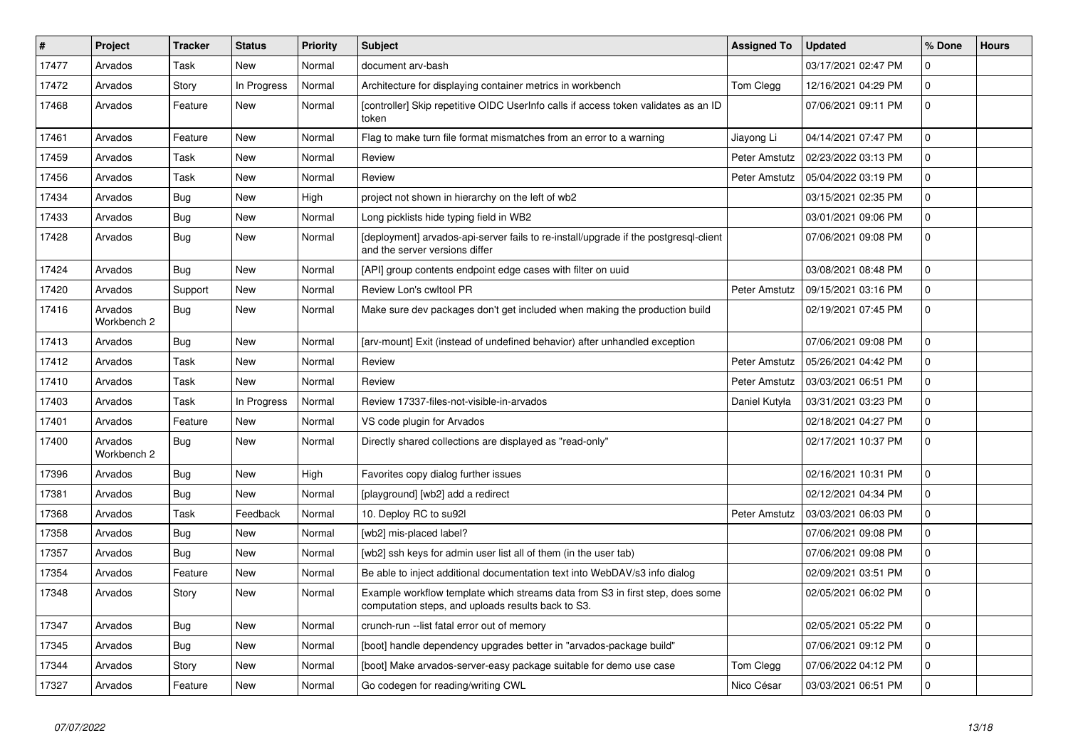| #     | Project                | <b>Tracker</b> | <b>Status</b> | Priority | <b>Subject</b>                                                                                                                      | <b>Assigned To</b> | <b>Updated</b>      | % Done       | <b>Hours</b> |
|-------|------------------------|----------------|---------------|----------|-------------------------------------------------------------------------------------------------------------------------------------|--------------------|---------------------|--------------|--------------|
| 17477 | Arvados                | Task           | <b>New</b>    | Normal   | document arv-bash                                                                                                                   |                    | 03/17/2021 02:47 PM | 0            |              |
| 17472 | Arvados                | Story          | In Progress   | Normal   | Architecture for displaying container metrics in workbench                                                                          | Tom Clegg          | 12/16/2021 04:29 PM | 0            |              |
| 17468 | Arvados                | Feature        | <b>New</b>    | Normal   | [controller] Skip repetitive OIDC UserInfo calls if access token validates as an ID<br>token                                        |                    | 07/06/2021 09:11 PM | $\Omega$     |              |
| 17461 | Arvados                | Feature        | New           | Normal   | Flag to make turn file format mismatches from an error to a warning                                                                 | Jiayong Li         | 04/14/2021 07:47 PM | 0            |              |
| 17459 | Arvados                | Task           | New           | Normal   | Review                                                                                                                              | Peter Amstutz      | 02/23/2022 03:13 PM | 0            |              |
| 17456 | Arvados                | Task           | <b>New</b>    | Normal   | Review                                                                                                                              | Peter Amstutz      | 05/04/2022 03:19 PM | 0            |              |
| 17434 | Arvados                | <b>Bug</b>     | <b>New</b>    | High     | project not shown in hierarchy on the left of wb2                                                                                   |                    | 03/15/2021 02:35 PM | 0            |              |
| 17433 | Arvados                | <b>Bug</b>     | New           | Normal   | Long picklists hide typing field in WB2                                                                                             |                    | 03/01/2021 09:06 PM | $\mathbf{0}$ |              |
| 17428 | Arvados                | Bug            | <b>New</b>    | Normal   | [deployment] arvados-api-server fails to re-install/upgrade if the postgresql-client<br>and the server versions differ              |                    | 07/06/2021 09:08 PM | 0            |              |
| 17424 | Arvados                | Bug            | <b>New</b>    | Normal   | [API] group contents endpoint edge cases with filter on uuid                                                                        |                    | 03/08/2021 08:48 PM | 0            |              |
| 17420 | Arvados                | Support        | New           | Normal   | Review Lon's cwltool PR                                                                                                             | Peter Amstutz      | 09/15/2021 03:16 PM | 0            |              |
| 17416 | Arvados<br>Workbench 2 | Bug            | New           | Normal   | Make sure dev packages don't get included when making the production build                                                          |                    | 02/19/2021 07:45 PM | 0            |              |
| 17413 | Arvados                | Bug            | <b>New</b>    | Normal   | [arv-mount] Exit (instead of undefined behavior) after unhandled exception                                                          |                    | 07/06/2021 09:08 PM | $\Omega$     |              |
| 17412 | Arvados                | Task           | <b>New</b>    | Normal   | Review                                                                                                                              | Peter Amstutz      | 05/26/2021 04:42 PM | $\mathbf{0}$ |              |
| 17410 | Arvados                | Task           | <b>New</b>    | Normal   | Review                                                                                                                              | Peter Amstutz      | 03/03/2021 06:51 PM | 0            |              |
| 17403 | Arvados                | Task           | In Progress   | Normal   | Review 17337-files-not-visible-in-arvados                                                                                           | Daniel Kutyła      | 03/31/2021 03:23 PM | 0            |              |
| 17401 | Arvados                | Feature        | <b>New</b>    | Normal   | VS code plugin for Arvados                                                                                                          |                    | 02/18/2021 04:27 PM | $\Omega$     |              |
| 17400 | Arvados<br>Workbench 2 | <b>Bug</b>     | New           | Normal   | Directly shared collections are displayed as "read-only"                                                                            |                    | 02/17/2021 10:37 PM | $\Omega$     |              |
| 17396 | Arvados                | <b>Bug</b>     | <b>New</b>    | High     | Favorites copy dialog further issues                                                                                                |                    | 02/16/2021 10:31 PM | $\Omega$     |              |
| 17381 | Arvados                | Bug            | <b>New</b>    | Normal   | [playground] [wb2] add a redirect                                                                                                   |                    | 02/12/2021 04:34 PM | $\Omega$     |              |
| 17368 | Arvados                | Task           | Feedback      | Normal   | 10. Deploy RC to su92l                                                                                                              | Peter Amstutz      | 03/03/2021 06:03 PM | 0            |              |
| 17358 | Arvados                | Bug            | <b>New</b>    | Normal   | [wb2] mis-placed label?                                                                                                             |                    | 07/06/2021 09:08 PM | 0            |              |
| 17357 | Arvados                | <b>Bug</b>     | New           | Normal   | [wb2] ssh keys for admin user list all of them (in the user tab)                                                                    |                    | 07/06/2021 09:08 PM | $\Omega$     |              |
| 17354 | Arvados                | Feature        | <b>New</b>    | Normal   | Be able to inject additional documentation text into WebDAV/s3 info dialog                                                          |                    | 02/09/2021 03:51 PM | $\Omega$     |              |
| 17348 | Arvados                | Story          | <b>New</b>    | Normal   | Example workflow template which streams data from S3 in first step, does some<br>computation steps, and uploads results back to S3. |                    | 02/05/2021 06:02 PM | $\Omega$     |              |
| 17347 | Arvados                | Bug            | New           | Normal   | crunch-run -- list fatal error out of memory                                                                                        |                    | 02/05/2021 05:22 PM | $\Omega$     |              |
| 17345 | Arvados                | Bug            | <b>New</b>    | Normal   | [boot] handle dependency upgrades better in "arvados-package build"                                                                 |                    | 07/06/2021 09:12 PM | 0            |              |
| 17344 | Arvados                | Story          | New           | Normal   | [boot] Make arvados-server-easy package suitable for demo use case                                                                  | Tom Clegg          | 07/06/2022 04:12 PM | 0            |              |
| 17327 | Arvados                | Feature        | New           | Normal   | Go codegen for reading/writing CWL                                                                                                  | Nico César         | 03/03/2021 06:51 PM | 0            |              |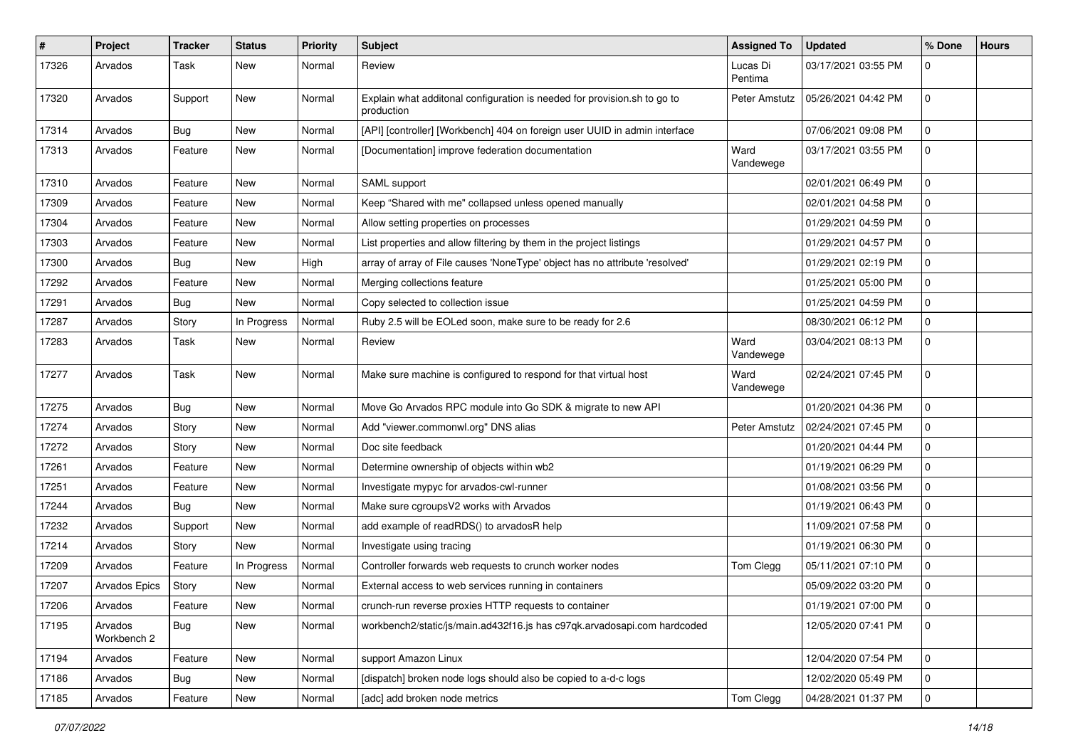| #     | Project                | <b>Tracker</b> | <b>Status</b> | <b>Priority</b> | Subject                                                                                | <b>Assigned To</b>  | <b>Updated</b>      | % Done       | <b>Hours</b> |
|-------|------------------------|----------------|---------------|-----------------|----------------------------------------------------------------------------------------|---------------------|---------------------|--------------|--------------|
| 17326 | Arvados                | Task           | <b>New</b>    | Normal          | Review                                                                                 | Lucas Di<br>Pentima | 03/17/2021 03:55 PM | $\Omega$     |              |
| 17320 | Arvados                | Support        | New           | Normal          | Explain what additonal configuration is needed for provision.sh to go to<br>production | Peter Amstutz       | 05/26/2021 04:42 PM | $\Omega$     |              |
| 17314 | Arvados                | Bug            | New           | Normal          | [API] [controller] [Workbench] 404 on foreign user UUID in admin interface             |                     | 07/06/2021 09:08 PM | $\mathbf 0$  |              |
| 17313 | Arvados                | Feature        | New           | Normal          | [Documentation] improve federation documentation                                       | Ward<br>Vandewege   | 03/17/2021 03:55 PM | 0            |              |
| 17310 | Arvados                | Feature        | New           | Normal          | SAML support                                                                           |                     | 02/01/2021 06:49 PM | 0            |              |
| 17309 | Arvados                | Feature        | New           | Normal          | Keep "Shared with me" collapsed unless opened manually                                 |                     | 02/01/2021 04:58 PM | 0            |              |
| 17304 | Arvados                | Feature        | New           | Normal          | Allow setting properties on processes                                                  |                     | 01/29/2021 04:59 PM | $\Omega$     |              |
| 17303 | Arvados                | Feature        | New           | Normal          | List properties and allow filtering by them in the project listings                    |                     | 01/29/2021 04:57 PM | $\Omega$     |              |
| 17300 | Arvados                | Bug            | New           | High            | array of array of File causes 'NoneType' object has no attribute 'resolved'            |                     | 01/29/2021 02:19 PM | 0            |              |
| 17292 | Arvados                | Feature        | New           | Normal          | Merging collections feature                                                            |                     | 01/25/2021 05:00 PM | 0            |              |
| 17291 | Arvados                | Bug            | New           | Normal          | Copy selected to collection issue                                                      |                     | 01/25/2021 04:59 PM | 0            |              |
| 17287 | Arvados                | Story          | In Progress   | Normal          | Ruby 2.5 will be EOLed soon, make sure to be ready for 2.6                             |                     | 08/30/2021 06:12 PM | $\Omega$     |              |
| 17283 | Arvados                | Task           | New           | Normal          | Review                                                                                 | Ward<br>Vandewege   | 03/04/2021 08:13 PM | $\Omega$     |              |
| 17277 | Arvados                | Task           | New           | Normal          | Make sure machine is configured to respond for that virtual host                       | Ward<br>Vandewege   | 02/24/2021 07:45 PM | $\mathbf 0$  |              |
| 17275 | Arvados                | Bug            | New           | Normal          | Move Go Arvados RPC module into Go SDK & migrate to new API                            |                     | 01/20/2021 04:36 PM | $\mathbf 0$  |              |
| 17274 | Arvados                | Story          | New           | Normal          | Add "viewer.commonwl.org" DNS alias                                                    | Peter Amstutz       | 02/24/2021 07:45 PM | $\Omega$     |              |
| 17272 | Arvados                | Story          | New           | Normal          | Doc site feedback                                                                      |                     | 01/20/2021 04:44 PM | 0            |              |
| 17261 | Arvados                | Feature        | <b>New</b>    | Normal          | Determine ownership of objects within wb2                                              |                     | 01/19/2021 06:29 PM | 0            |              |
| 17251 | Arvados                | Feature        | New           | Normal          | Investigate mypyc for arvados-cwl-runner                                               |                     | 01/08/2021 03:56 PM | $\Omega$     |              |
| 17244 | Arvados                | Bug            | New           | Normal          | Make sure cgroupsV2 works with Arvados                                                 |                     | 01/19/2021 06:43 PM | 0            |              |
| 17232 | Arvados                | Support        | New           | Normal          | add example of readRDS() to arvadosR help                                              |                     | 11/09/2021 07:58 PM | $\Omega$     |              |
| 17214 | Arvados                | Story          | New           | Normal          | Investigate using tracing                                                              |                     | 01/19/2021 06:30 PM | 0            |              |
| 17209 | Arvados                | Feature        | In Progress   | Normal          | Controller forwards web requests to crunch worker nodes                                | Tom Clegg           | 05/11/2021 07:10 PM | $\mathbf 0$  |              |
| 17207 | <b>Arvados Epics</b>   | Story          | New           | Normal          | External access to web services running in containers                                  |                     | 05/09/2022 03:20 PM | 0            |              |
| 17206 | Arvados                | Feature        | New           | Normal          | crunch-run reverse proxies HTTP requests to container                                  |                     | 01/19/2021 07:00 PM |              |              |
| 17195 | Arvados<br>Workbench 2 | Bug            | New           | Normal          | workbench2/static/js/main.ad432f16.js has c97qk.arvadosapi.com hardcoded               |                     | 12/05/2020 07:41 PM | $\mathbf 0$  |              |
| 17194 | Arvados                | Feature        | New           | Normal          | support Amazon Linux                                                                   |                     | 12/04/2020 07:54 PM | $\mathbf 0$  |              |
| 17186 | Arvados                | Bug            | New           | Normal          | [dispatch] broken node logs should also be copied to a-d-c logs                        |                     | 12/02/2020 05:49 PM | $\mathbf{0}$ |              |
| 17185 | Arvados                | Feature        | New           | Normal          | [adc] add broken node metrics                                                          | Tom Clegg           | 04/28/2021 01:37 PM | 0            |              |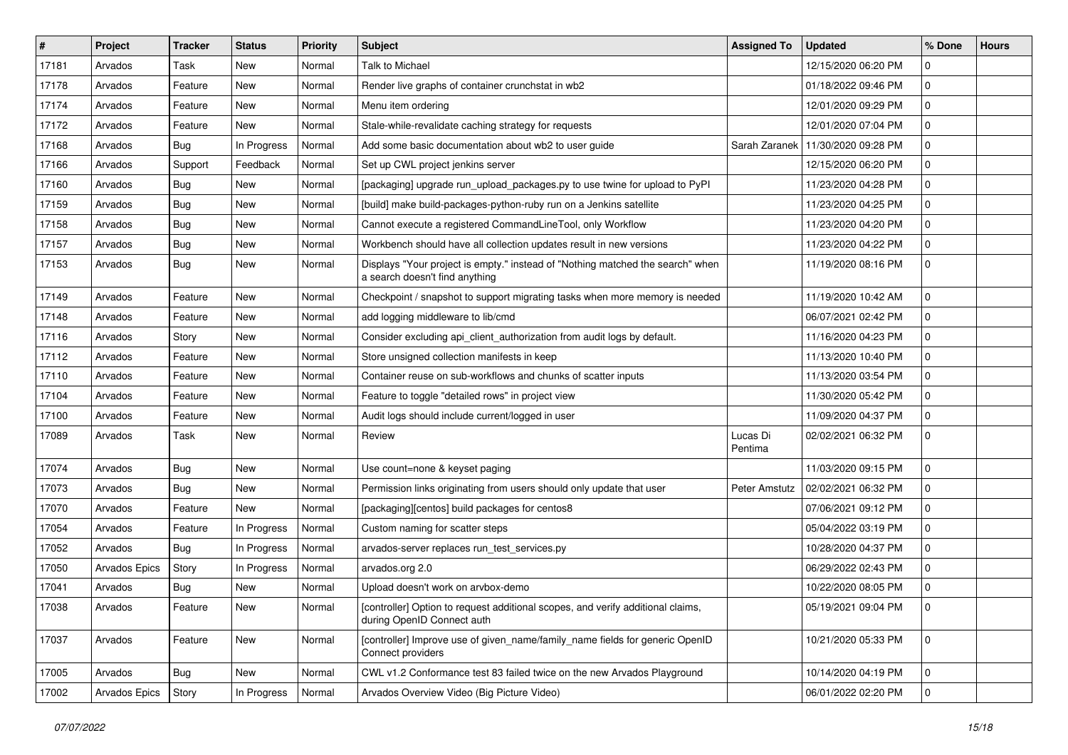| $\vert$ # | Project              | <b>Tracker</b> | <b>Status</b> | <b>Priority</b> | <b>Subject</b>                                                                                                   | <b>Assigned To</b>  | <b>Updated</b>      | % Done      | <b>Hours</b> |
|-----------|----------------------|----------------|---------------|-----------------|------------------------------------------------------------------------------------------------------------------|---------------------|---------------------|-------------|--------------|
| 17181     | Arvados              | Task           | New           | Normal          | <b>Talk to Michael</b>                                                                                           |                     | 12/15/2020 06:20 PM | 0           |              |
| 17178     | Arvados              | Feature        | New           | Normal          | Render live graphs of container crunchstat in wb2                                                                |                     | 01/18/2022 09:46 PM | 0           |              |
| 17174     | Arvados              | Feature        | <b>New</b>    | Normal          | Menu item ordering                                                                                               |                     | 12/01/2020 09:29 PM | 0           |              |
| 17172     | Arvados              | Feature        | New           | Normal          | Stale-while-revalidate caching strategy for requests                                                             |                     | 12/01/2020 07:04 PM | 0           |              |
| 17168     | Arvados              | <b>Bug</b>     | In Progress   | Normal          | Add some basic documentation about wb2 to user guide                                                             | Sarah Zaranek       | 11/30/2020 09:28 PM | 0           |              |
| 17166     | Arvados              | Support        | Feedback      | Normal          | Set up CWL project jenkins server                                                                                |                     | 12/15/2020 06:20 PM | 0           |              |
| 17160     | Arvados              | Bug            | <b>New</b>    | Normal          | [packaging] upgrade run_upload_packages.py to use twine for upload to PyPI                                       |                     | 11/23/2020 04:28 PM | 0           |              |
| 17159     | Arvados              | <b>Bug</b>     | New           | Normal          | [build] make build-packages-python-ruby run on a Jenkins satellite                                               |                     | 11/23/2020 04:25 PM | 0           |              |
| 17158     | Arvados              | <b>Bug</b>     | New           | Normal          | Cannot execute a registered CommandLineTool, only Workflow                                                       |                     | 11/23/2020 04:20 PM | 0           |              |
| 17157     | Arvados              | Bug            | <b>New</b>    | Normal          | Workbench should have all collection updates result in new versions                                              |                     | 11/23/2020 04:22 PM | 0           |              |
| 17153     | Arvados              | <b>Bug</b>     | New           | Normal          | Displays "Your project is empty." instead of "Nothing matched the search" when<br>a search doesn't find anything |                     | 11/19/2020 08:16 PM | 0           |              |
| 17149     | Arvados              | Feature        | New           | Normal          | Checkpoint / snapshot to support migrating tasks when more memory is needed                                      |                     | 11/19/2020 10:42 AM | 0           |              |
| 17148     | Arvados              | Feature        | New           | Normal          | add logging middleware to lib/cmd                                                                                |                     | 06/07/2021 02:42 PM | 0           |              |
| 17116     | Arvados              | Story          | New           | Normal          | Consider excluding api_client_authorization from audit logs by default.                                          |                     | 11/16/2020 04:23 PM | 0           |              |
| 17112     | Arvados              | Feature        | New           | Normal          | Store unsigned collection manifests in keep                                                                      |                     | 11/13/2020 10:40 PM | 0           |              |
| 17110     | Arvados              | Feature        | New           | Normal          | Container reuse on sub-workflows and chunks of scatter inputs                                                    |                     | 11/13/2020 03:54 PM | 0           |              |
| 17104     | Arvados              | Feature        | <b>New</b>    | Normal          | Feature to toggle "detailed rows" in project view                                                                |                     | 11/30/2020 05:42 PM | 0           |              |
| 17100     | Arvados              | Feature        | New           | Normal          | Audit logs should include current/logged in user                                                                 |                     | 11/09/2020 04:37 PM | 0           |              |
| 17089     | Arvados              | Task           | <b>New</b>    | Normal          | Review                                                                                                           | Lucas Di<br>Pentima | 02/02/2021 06:32 PM | 0           |              |
| 17074     | Arvados              | Bug            | New           | Normal          | Use count=none & keyset paging                                                                                   |                     | 11/03/2020 09:15 PM | 0           |              |
| 17073     | Arvados              | Bug            | New           | Normal          | Permission links originating from users should only update that user                                             | Peter Amstutz       | 02/02/2021 06:32 PM | 0           |              |
| 17070     | Arvados              | Feature        | <b>New</b>    | Normal          | [packaging][centos] build packages for centos8                                                                   |                     | 07/06/2021 09:12 PM | 0           |              |
| 17054     | Arvados              | Feature        | In Progress   | Normal          | Custom naming for scatter steps                                                                                  |                     | 05/04/2022 03:19 PM | 0           |              |
| 17052     | Arvados              | Bug            | In Progress   | Normal          | arvados-server replaces run_test_services.py                                                                     |                     | 10/28/2020 04:37 PM | 0           |              |
| 17050     | <b>Arvados Epics</b> | Story          | In Progress   | Normal          | arvados.org 2.0                                                                                                  |                     | 06/29/2022 02:43 PM | 0           |              |
| 17041     | Arvados              | <b>Bug</b>     | New           | Normal          | Upload doesn't work on arvbox-demo                                                                               |                     | 10/22/2020 08:05 PM | 0           |              |
| 17038     | Arvados              | Feature        | New           | Normal          | [controller] Option to request additional scopes, and verify additional claims,<br>during OpenID Connect auth    |                     | 05/19/2021 09:04 PM | l 0         |              |
| 17037     | Arvados              | Feature        | New           | Normal          | [controller] Improve use of given name/family name fields for generic OpenID<br>Connect providers                |                     | 10/21/2020 05:33 PM | $\mathbf 0$ |              |
| 17005     | Arvados              | Bug            | New           | Normal          | CWL v1.2 Conformance test 83 failed twice on the new Arvados Playground                                          |                     | 10/14/2020 04:19 PM | $\mathbf 0$ |              |
| 17002     | Arvados Epics        | Story          | In Progress   | Normal          | Arvados Overview Video (Big Picture Video)                                                                       |                     | 06/01/2022 02:20 PM | $\mathbf 0$ |              |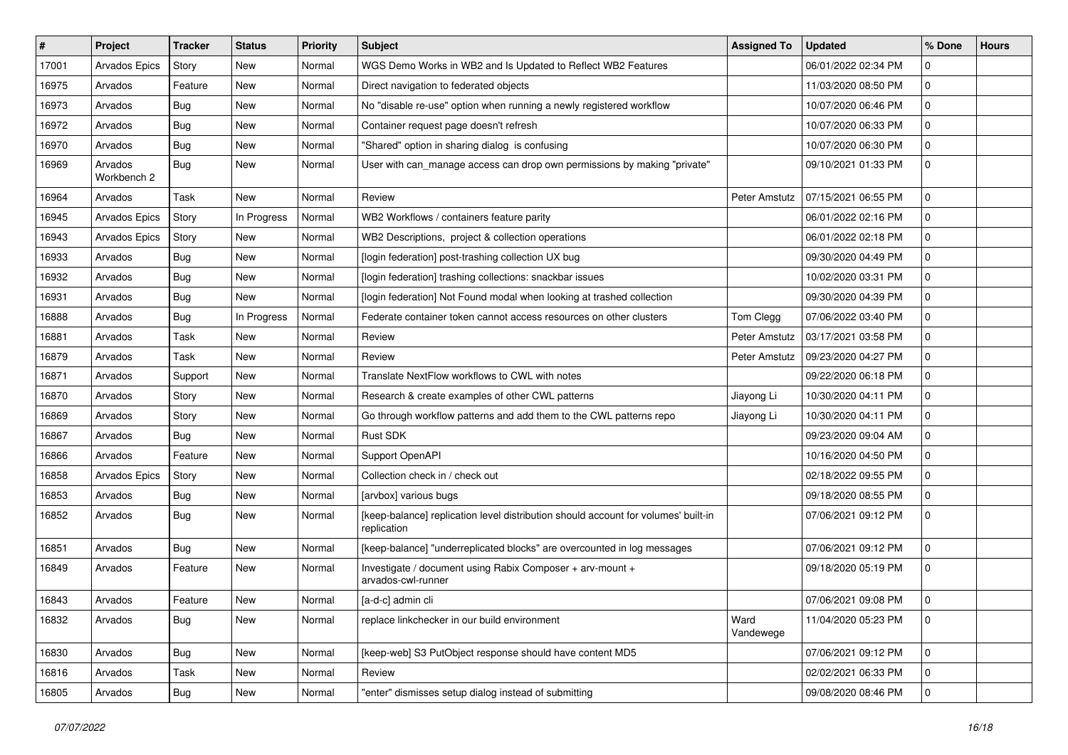| $\#$  | Project                | <b>Tracker</b> | <b>Status</b> | <b>Priority</b> | <b>Subject</b>                                                                                    | <b>Assigned To</b> | <b>Updated</b>      | % Done       | <b>Hours</b> |
|-------|------------------------|----------------|---------------|-----------------|---------------------------------------------------------------------------------------------------|--------------------|---------------------|--------------|--------------|
| 17001 | Arvados Epics          | Story          | New           | Normal          | WGS Demo Works in WB2 and Is Updated to Reflect WB2 Features                                      |                    | 06/01/2022 02:34 PM | 0            |              |
| 16975 | Arvados                | Feature        | <b>New</b>    | Normal          | Direct navigation to federated objects                                                            |                    | 11/03/2020 08:50 PM | 0            |              |
| 16973 | Arvados                | Bug            | New           | Normal          | No "disable re-use" option when running a newly registered workflow                               |                    | 10/07/2020 06:46 PM | 0            |              |
| 16972 | Arvados                | Bug            | New           | Normal          | Container request page doesn't refresh                                                            |                    | 10/07/2020 06:33 PM | 0            |              |
| 16970 | Arvados                | Bug            | <b>New</b>    | Normal          | "Shared" option in sharing dialog is confusing                                                    |                    | 10/07/2020 06:30 PM | 0            |              |
| 16969 | Arvados<br>Workbench 2 | Bug            | <b>New</b>    | Normal          | User with can_manage access can drop own permissions by making "private"                          |                    | 09/10/2021 01:33 PM | 0            |              |
| 16964 | Arvados                | Task           | <b>New</b>    | Normal          | Review                                                                                            | Peter Amstutz      | 07/15/2021 06:55 PM | 0            |              |
| 16945 | Arvados Epics          | Story          | In Progress   | Normal          | WB2 Workflows / containers feature parity                                                         |                    | 06/01/2022 02:16 PM | 0            |              |
| 16943 | Arvados Epics          | Story          | <b>New</b>    | Normal          | WB2 Descriptions, project & collection operations                                                 |                    | 06/01/2022 02:18 PM | 0            |              |
| 16933 | Arvados                | Bug            | <b>New</b>    | Normal          | [login federation] post-trashing collection UX bug                                                |                    | 09/30/2020 04:49 PM | 0            |              |
| 16932 | Arvados                | Bug            | <b>New</b>    | Normal          | [login federation] trashing collections: snackbar issues                                          |                    | 10/02/2020 03:31 PM | 0            |              |
| 16931 | Arvados                | Bug            | <b>New</b>    | Normal          | [login federation] Not Found modal when looking at trashed collection                             |                    | 09/30/2020 04:39 PM | 0            |              |
| 16888 | Arvados                | Bug            | In Progress   | Normal          | Federate container token cannot access resources on other clusters                                | Tom Clegg          | 07/06/2022 03:40 PM | 0            |              |
| 16881 | Arvados                | Task           | <b>New</b>    | Normal          | Review                                                                                            | Peter Amstutz      | 03/17/2021 03:58 PM | 0            |              |
| 16879 | Arvados                | Task           | <b>New</b>    | Normal          | Review                                                                                            | Peter Amstutz      | 09/23/2020 04:27 PM | 0            |              |
| 16871 | Arvados                | Support        | New           | Normal          | Translate NextFlow workflows to CWL with notes                                                    |                    | 09/22/2020 06:18 PM | 0            |              |
| 16870 | Arvados                | Story          | <b>New</b>    | Normal          | Research & create examples of other CWL patterns                                                  | Jiayong Li         | 10/30/2020 04:11 PM | 0            |              |
| 16869 | Arvados                | Story          | New           | Normal          | Go through workflow patterns and add them to the CWL patterns repo                                | Jiayong Li         | 10/30/2020 04:11 PM | 0            |              |
| 16867 | Arvados                | Bug            | <b>New</b>    | Normal          | Rust SDK                                                                                          |                    | 09/23/2020 09:04 AM | 0            |              |
| 16866 | Arvados                | Feature        | New           | Normal          | Support OpenAPI                                                                                   |                    | 10/16/2020 04:50 PM | $\mathbf{0}$ |              |
| 16858 | Arvados Epics          | Story          | <b>New</b>    | Normal          | Collection check in / check out                                                                   |                    | 02/18/2022 09:55 PM | 0            |              |
| 16853 | Arvados                | Bug            | <b>New</b>    | Normal          | [arvbox] various bugs                                                                             |                    | 09/18/2020 08:55 PM | 0            |              |
| 16852 | Arvados                | Bug            | New           | Normal          | [keep-balance] replication level distribution should account for volumes' built-in<br>replication |                    | 07/06/2021 09:12 PM | 0            |              |
| 16851 | Arvados                | Bug            | <b>New</b>    | Normal          | [keep-balance] "underreplicated blocks" are overcounted in log messages                           |                    | 07/06/2021 09:12 PM | 0            |              |
| 16849 | Arvados                | Feature        | <b>New</b>    | Normal          | Investigate / document using Rabix Composer + arv-mount +<br>arvados-cwl-runner                   |                    | 09/18/2020 05:19 PM | 0            |              |
| 16843 | Arvados                | Feature        | New           | Normal          | [a-d-c] admin cli                                                                                 |                    | 07/06/2021 09:08 PM | 0            |              |
| 16832 | Arvados                | Bug            | New           | Normal          | replace linkchecker in our build environment                                                      | Ward<br>Vandewege  | 11/04/2020 05:23 PM | $\mathbf{0}$ |              |
| 16830 | Arvados                | Bug            | <b>New</b>    | Normal          | [keep-web] S3 PutObject response should have content MD5                                          |                    | 07/06/2021 09:12 PM | $\mathbf 0$  |              |
| 16816 | Arvados                | Task           | New           | Normal          | Review                                                                                            |                    | 02/02/2021 06:33 PM | 0            |              |
| 16805 | Arvados                | <b>Bug</b>     | New           | Normal          | "enter" dismisses setup dialog instead of submitting                                              |                    | 09/08/2020 08:46 PM | $\mathbf 0$  |              |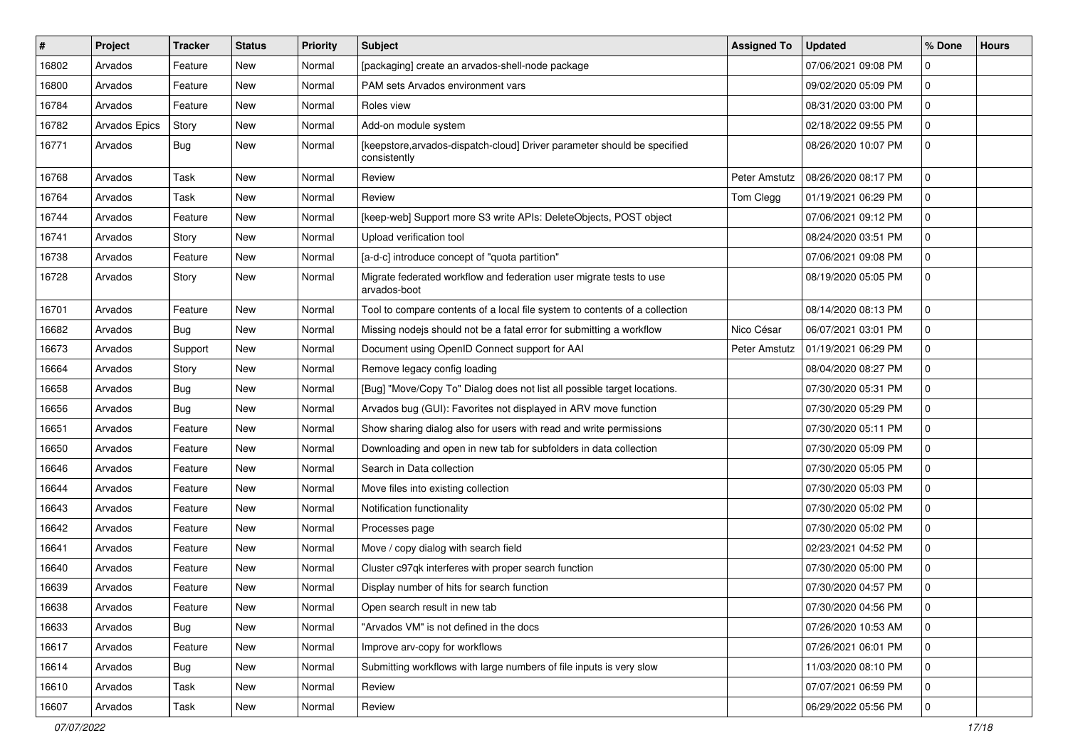| #     | Project       | <b>Tracker</b> | <b>Status</b> | <b>Priority</b> | Subject                                                                                  | <b>Assigned To</b> | <b>Updated</b>      | % Done      | <b>Hours</b> |
|-------|---------------|----------------|---------------|-----------------|------------------------------------------------------------------------------------------|--------------------|---------------------|-------------|--------------|
| 16802 | Arvados       | Feature        | New           | Normal          | [packaging] create an arvados-shell-node package                                         |                    | 07/06/2021 09:08 PM | 0           |              |
| 16800 | Arvados       | Feature        | <b>New</b>    | Normal          | PAM sets Arvados environment vars                                                        |                    | 09/02/2020 05:09 PM | 0           |              |
| 16784 | Arvados       | Feature        | New           | Normal          | Roles view                                                                               |                    | 08/31/2020 03:00 PM | 0           |              |
| 16782 | Arvados Epics | Story          | New           | Normal          | Add-on module system                                                                     |                    | 02/18/2022 09:55 PM | 0           |              |
| 16771 | Arvados       | Bug            | New           | Normal          | [keepstore, arvados-dispatch-cloud] Driver parameter should be specified<br>consistently |                    | 08/26/2020 10:07 PM | $\mathbf 0$ |              |
| 16768 | Arvados       | Task           | <b>New</b>    | Normal          | Review                                                                                   | Peter Amstutz      | 08/26/2020 08:17 PM | $\mathbf 0$ |              |
| 16764 | Arvados       | Task           | New           | Normal          | Review                                                                                   | Tom Clegg          | 01/19/2021 06:29 PM | 0           |              |
| 16744 | Arvados       | Feature        | New           | Normal          | [keep-web] Support more S3 write APIs: DeleteObjects, POST object                        |                    | 07/06/2021 09:12 PM | 0           |              |
| 16741 | Arvados       | Story          | <b>New</b>    | Normal          | Upload verification tool                                                                 |                    | 08/24/2020 03:51 PM | $\mathbf 0$ |              |
| 16738 | Arvados       | Feature        | <b>New</b>    | Normal          | [a-d-c] introduce concept of "quota partition"                                           |                    | 07/06/2021 09:08 PM | 0           |              |
| 16728 | Arvados       | Story          | New           | Normal          | Migrate federated workflow and federation user migrate tests to use<br>arvados-boot      |                    | 08/19/2020 05:05 PM | $\mathbf 0$ |              |
| 16701 | Arvados       | Feature        | <b>New</b>    | Normal          | Tool to compare contents of a local file system to contents of a collection              |                    | 08/14/2020 08:13 PM | $\mathbf 0$ |              |
| 16682 | Arvados       | Bug            | <b>New</b>    | Normal          | Missing nodejs should not be a fatal error for submitting a workflow                     | Nico César         | 06/07/2021 03:01 PM | 0           |              |
| 16673 | Arvados       | Support        | New           | Normal          | Document using OpenID Connect support for AAI                                            | Peter Amstutz      | 01/19/2021 06:29 PM | $\mathbf 0$ |              |
| 16664 | Arvados       | Story          | New           | Normal          | Remove legacy config loading                                                             |                    | 08/04/2020 08:27 PM | 0           |              |
| 16658 | Arvados       | Bug            | New           | Normal          | [Bug] "Move/Copy To" Dialog does not list all possible target locations.                 |                    | 07/30/2020 05:31 PM | 0           |              |
| 16656 | Arvados       | Bug            | New           | Normal          | Arvados bug (GUI): Favorites not displayed in ARV move function                          |                    | 07/30/2020 05:29 PM | 0           |              |
| 16651 | Arvados       | Feature        | New           | Normal          | Show sharing dialog also for users with read and write permissions                       |                    | 07/30/2020 05:11 PM | 0           |              |
| 16650 | Arvados       | Feature        | New           | Normal          | Downloading and open in new tab for subfolders in data collection                        |                    | 07/30/2020 05:09 PM | 0           |              |
| 16646 | Arvados       | Feature        | <b>New</b>    | Normal          | Search in Data collection                                                                |                    | 07/30/2020 05:05 PM | 0           |              |
| 16644 | Arvados       | Feature        | <b>New</b>    | Normal          | Move files into existing collection                                                      |                    | 07/30/2020 05:03 PM | 0           |              |
| 16643 | Arvados       | Feature        | New           | Normal          | Notification functionality                                                               |                    | 07/30/2020 05:02 PM | 0           |              |
| 16642 | Arvados       | Feature        | New           | Normal          | Processes page                                                                           |                    | 07/30/2020 05:02 PM | 0           |              |
| 16641 | Arvados       | Feature        | <b>New</b>    | Normal          | Move / copy dialog with search field                                                     |                    | 02/23/2021 04:52 PM | 0           |              |
| 16640 | Arvados       | Feature        | New           | Normal          | Cluster c97qk interferes with proper search function                                     |                    | 07/30/2020 05:00 PM | 0           |              |
| 16639 | Arvados       | Feature        | <b>New</b>    | Normal          | Display number of hits for search function                                               |                    | 07/30/2020 04:57 PM | 0           |              |
| 16638 | Arvados       | Feature        | New           | Normal          | Open search result in new tab                                                            |                    | 07/30/2020 04:56 PM | 0           |              |
| 16633 | Arvados       | Bug            | New           | Normal          | "Arvados VM" is not defined in the docs                                                  |                    | 07/26/2020 10:53 AM | 0           |              |
| 16617 | Arvados       | Feature        | New           | Normal          | Improve arv-copy for workflows                                                           |                    | 07/26/2021 06:01 PM | $\mathbf 0$ |              |
| 16614 | Arvados       | Bug            | New           | Normal          | Submitting workflows with large numbers of file inputs is very slow                      |                    | 11/03/2020 08:10 PM | $\mathbf 0$ |              |
| 16610 | Arvados       | Task           | New           | Normal          | Review                                                                                   |                    | 07/07/2021 06:59 PM | $\mathbf 0$ |              |
| 16607 | Arvados       | Task           | New           | Normal          | Review                                                                                   |                    | 06/29/2022 05:56 PM | $\mathbf 0$ |              |